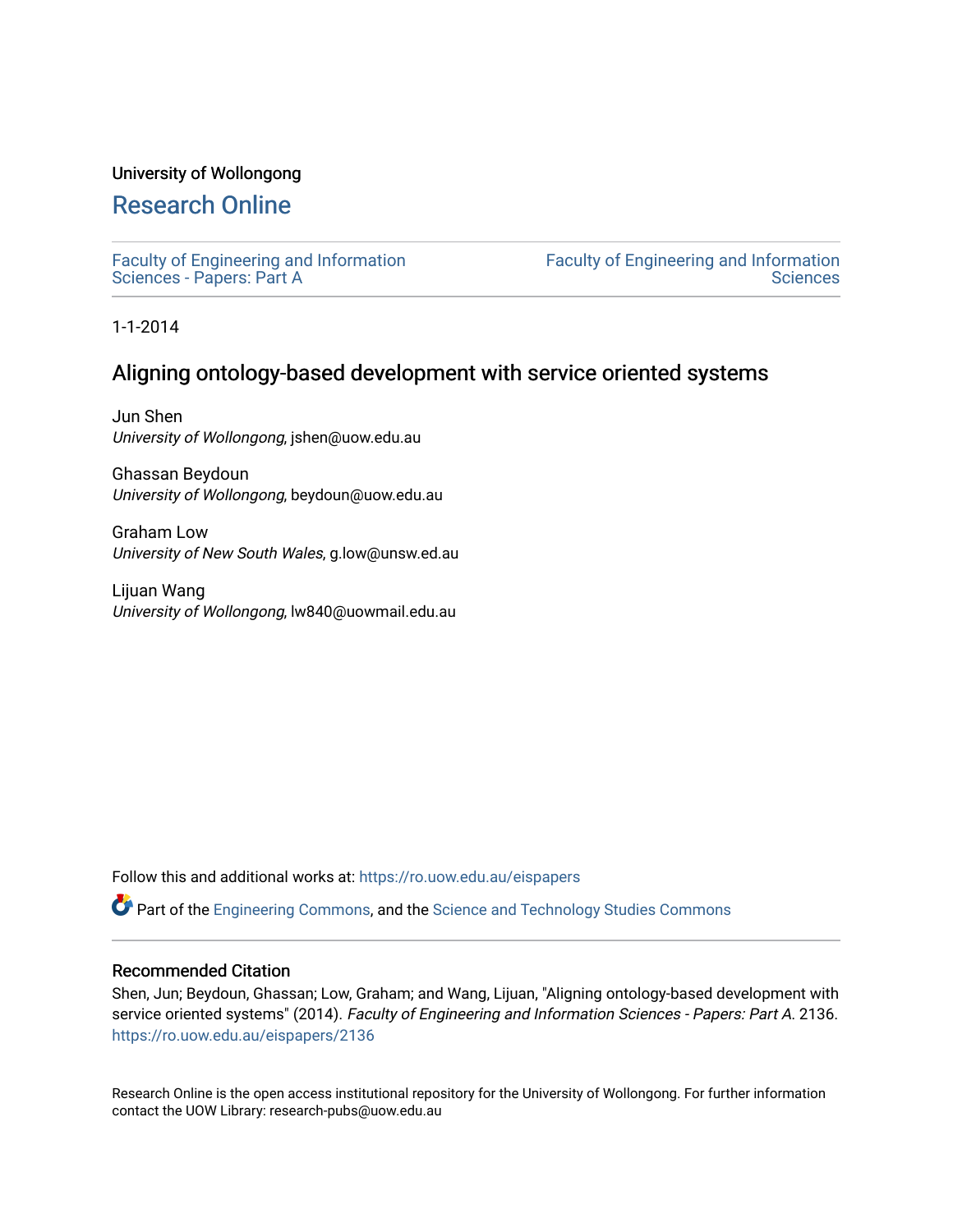## University of Wollongong

# [Research Online](https://ro.uow.edu.au/)

[Faculty of Engineering and Information](https://ro.uow.edu.au/eispapers)  [Sciences - Papers: Part A](https://ro.uow.edu.au/eispapers) 

[Faculty of Engineering and Information](https://ro.uow.edu.au/eis)  **Sciences** 

1-1-2014

# Aligning ontology-based development with service oriented systems

Jun Shen University of Wollongong, jshen@uow.edu.au

Ghassan Beydoun University of Wollongong, beydoun@uow.edu.au

Graham Low University of New South Wales, g.low@unsw.ed.au

Lijuan Wang University of Wollongong, lw840@uowmail.edu.au

Follow this and additional works at: [https://ro.uow.edu.au/eispapers](https://ro.uow.edu.au/eispapers?utm_source=ro.uow.edu.au%2Feispapers%2F2136&utm_medium=PDF&utm_campaign=PDFCoverPages)

Part of the [Engineering Commons](http://network.bepress.com/hgg/discipline/217?utm_source=ro.uow.edu.au%2Feispapers%2F2136&utm_medium=PDF&utm_campaign=PDFCoverPages), and the [Science and Technology Studies Commons](http://network.bepress.com/hgg/discipline/435?utm_source=ro.uow.edu.au%2Feispapers%2F2136&utm_medium=PDF&utm_campaign=PDFCoverPages)

### Recommended Citation

Shen, Jun; Beydoun, Ghassan; Low, Graham; and Wang, Lijuan, "Aligning ontology-based development with service oriented systems" (2014). Faculty of Engineering and Information Sciences - Papers: Part A. 2136. [https://ro.uow.edu.au/eispapers/2136](https://ro.uow.edu.au/eispapers/2136?utm_source=ro.uow.edu.au%2Feispapers%2F2136&utm_medium=PDF&utm_campaign=PDFCoverPages) 

Research Online is the open access institutional repository for the University of Wollongong. For further information contact the UOW Library: research-pubs@uow.edu.au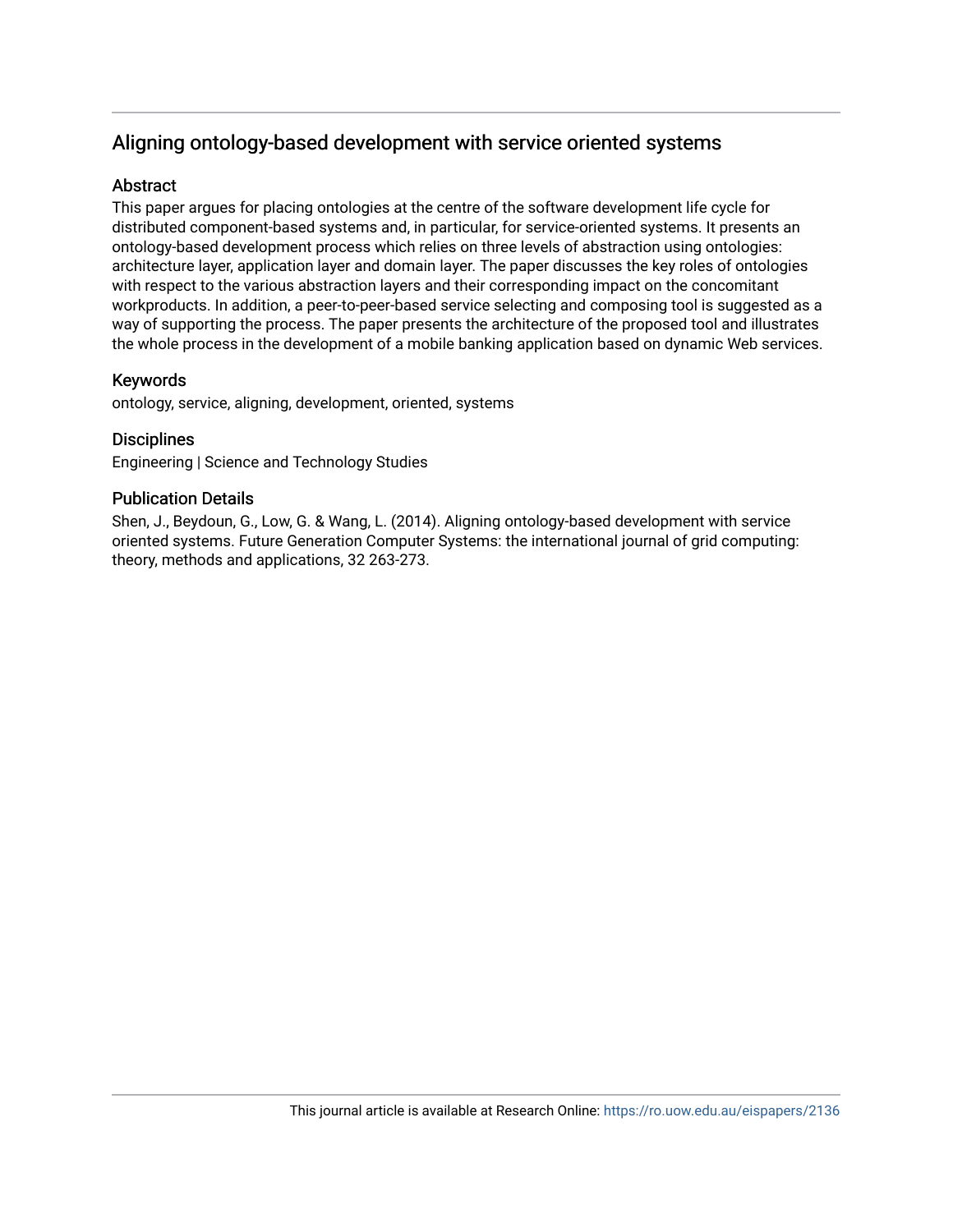# Aligning ontology-based development with service oriented systems

# **Abstract**

This paper argues for placing ontologies at the centre of the software development life cycle for distributed component-based systems and, in particular, for service-oriented systems. It presents an ontology-based development process which relies on three levels of abstraction using ontologies: architecture layer, application layer and domain layer. The paper discusses the key roles of ontologies with respect to the various abstraction layers and their corresponding impact on the concomitant workproducts. In addition, a peer-to-peer-based service selecting and composing tool is suggested as a way of supporting the process. The paper presents the architecture of the proposed tool and illustrates the whole process in the development of a mobile banking application based on dynamic Web services.

# Keywords

ontology, service, aligning, development, oriented, systems

# **Disciplines**

Engineering | Science and Technology Studies

# Publication Details

Shen, J., Beydoun, G., Low, G. & Wang, L. (2014). Aligning ontology-based development with service oriented systems. Future Generation Computer Systems: the international journal of grid computing: theory, methods and applications, 32 263-273.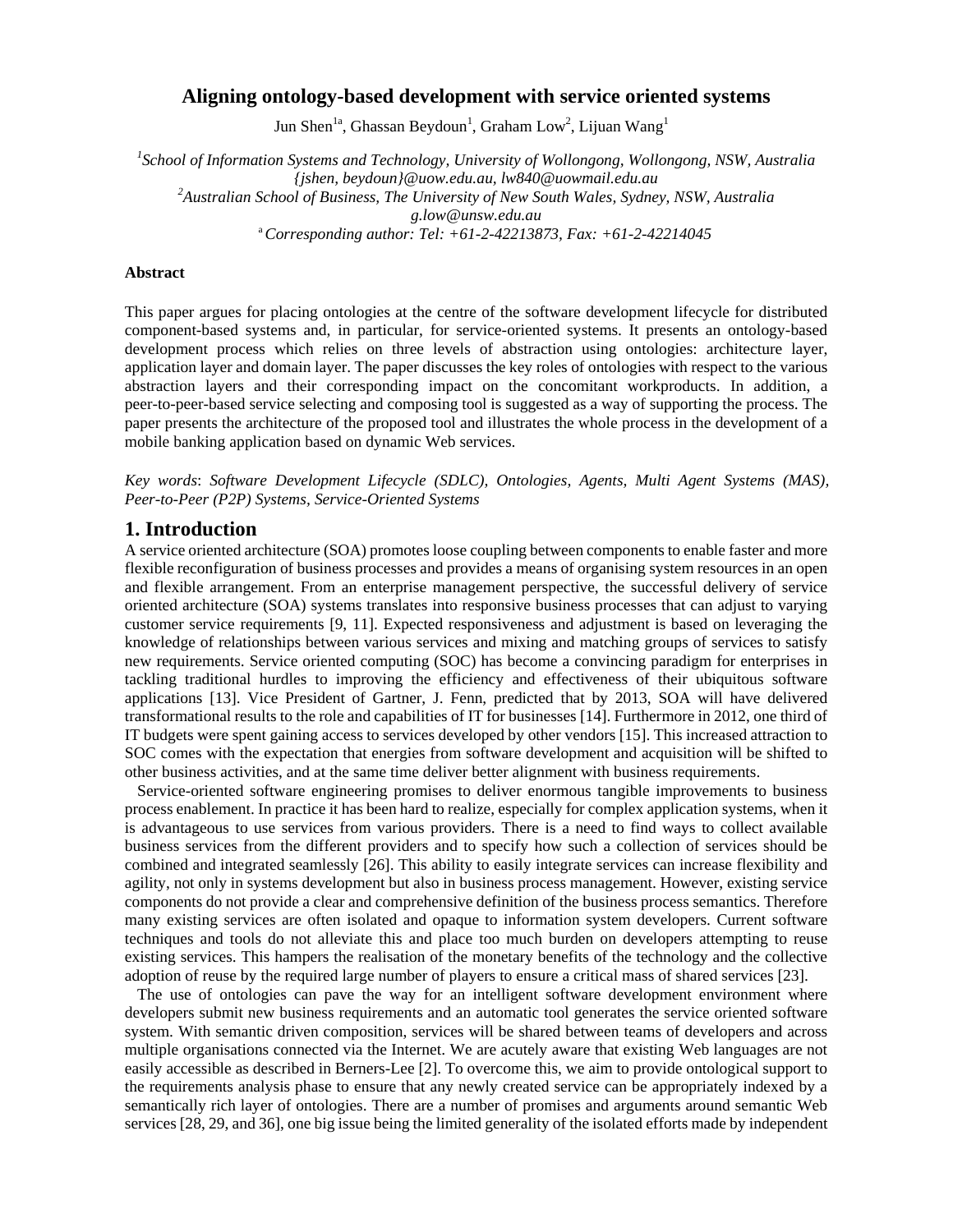## **Aligning ontology-based development with service oriented systems**

Jun Shen $^{\rm 1a}$ , Ghassan Beydoun $^{\rm 1}$ , Graham Low $^{\rm 2}$ , Lijuan Wang $^{\rm 1}$ 

*1 School of Information Systems and Technology, University of Wollongong, Wollongong, NSW, Australia {jshen, beydoun}@uow.edu.au, lw840@uowmail.edu.au 2 Australian School of Business, The University of New South Wales, Sydney, NSW, Australia* 

*g.low@unsw.edu.au* <sup>a</sup>*Corresponding author: Tel: +61-2-42213873, Fax: +61-2-42214045*

### **Abstract**

This paper argues for placing ontologies at the centre of the software development lifecycle for distributed component-based systems and, in particular, for service-oriented systems. It presents an ontology-based development process which relies on three levels of abstraction using ontologies: architecture layer, application layer and domain layer. The paper discusses the key roles of ontologies with respect to the various abstraction layers and their corresponding impact on the concomitant workproducts. In addition, a peer-to-peer-based service selecting and composing tool is suggested as a way of supporting the process. The paper presents the architecture of the proposed tool and illustrates the whole process in the development of a mobile banking application based on dynamic Web services.

*Key words*: *Software Development Lifecycle (SDLC), Ontologies, Agents, Multi Agent Systems (MAS), Peer-to-Peer (P2P) Systems, Service-Oriented Systems*

### **1. Introduction**

A service oriented architecture (SOA) promotes loose coupling between components to enable faster and more flexible reconfiguration of business processes and provides a means of organising system resources in an open and flexible arrangement. From an enterprise management perspective, the successful delivery of service oriented architecture (SOA) systems translates into responsive business processes that can adjust to varying customer service requirements [9, 11]. Expected responsiveness and adjustment is based on leveraging the knowledge of relationships between various services and mixing and matching groups of services to satisfy new requirements. Service oriented computing (SOC) has become a convincing paradigm for enterprises in tackling traditional hurdles to improving the efficiency and effectiveness of their ubiquitous software applications [13]. Vice President of Gartner, J. Fenn, predicted that by 2013, SOA will have delivered transformational results to the role and capabilities of IT for businesses [14]. Furthermore in 2012, one third of IT budgets were spent gaining access to services developed by other vendors [15]. This increased attraction to SOC comes with the expectation that energies from software development and acquisition will be shifted to other business activities, and at the same time deliver better alignment with business requirements.

Service-oriented software engineering promises to deliver enormous tangible improvements to business process enablement. In practice it has been hard to realize, especially for complex application systems, when it is advantageous to use services from various providers. There is a need to find ways to collect available business services from the different providers and to specify how such a collection of services should be combined and integrated seamlessly [26]. This ability to easily integrate services can increase flexibility and agility, not only in systems development but also in business process management. However, existing service components do not provide a clear and comprehensive definition of the business process semantics. Therefore many existing services are often isolated and opaque to information system developers. Current software techniques and tools do not alleviate this and place too much burden on developers attempting to reuse existing services. This hampers the realisation of the monetary benefits of the technology and the collective adoption of reuse by the required large number of players to ensure a critical mass of shared services [23].

The use of ontologies can pave the way for an intelligent software development environment where developers submit new business requirements and an automatic tool generates the service oriented software system. With semantic driven composition, services will be shared between teams of developers and across multiple organisations connected via the Internet. We are acutely aware that existing Web languages are not easily accessible as described in Berners-Lee [2]. To overcome this, we aim to provide ontological support to the requirements analysis phase to ensure that any newly created service can be appropriately indexed by a semantically rich layer of ontologies. There are a number of promises and arguments around semantic Web services [28, 29, and 36], one big issue being the limited generality of the isolated efforts made by independent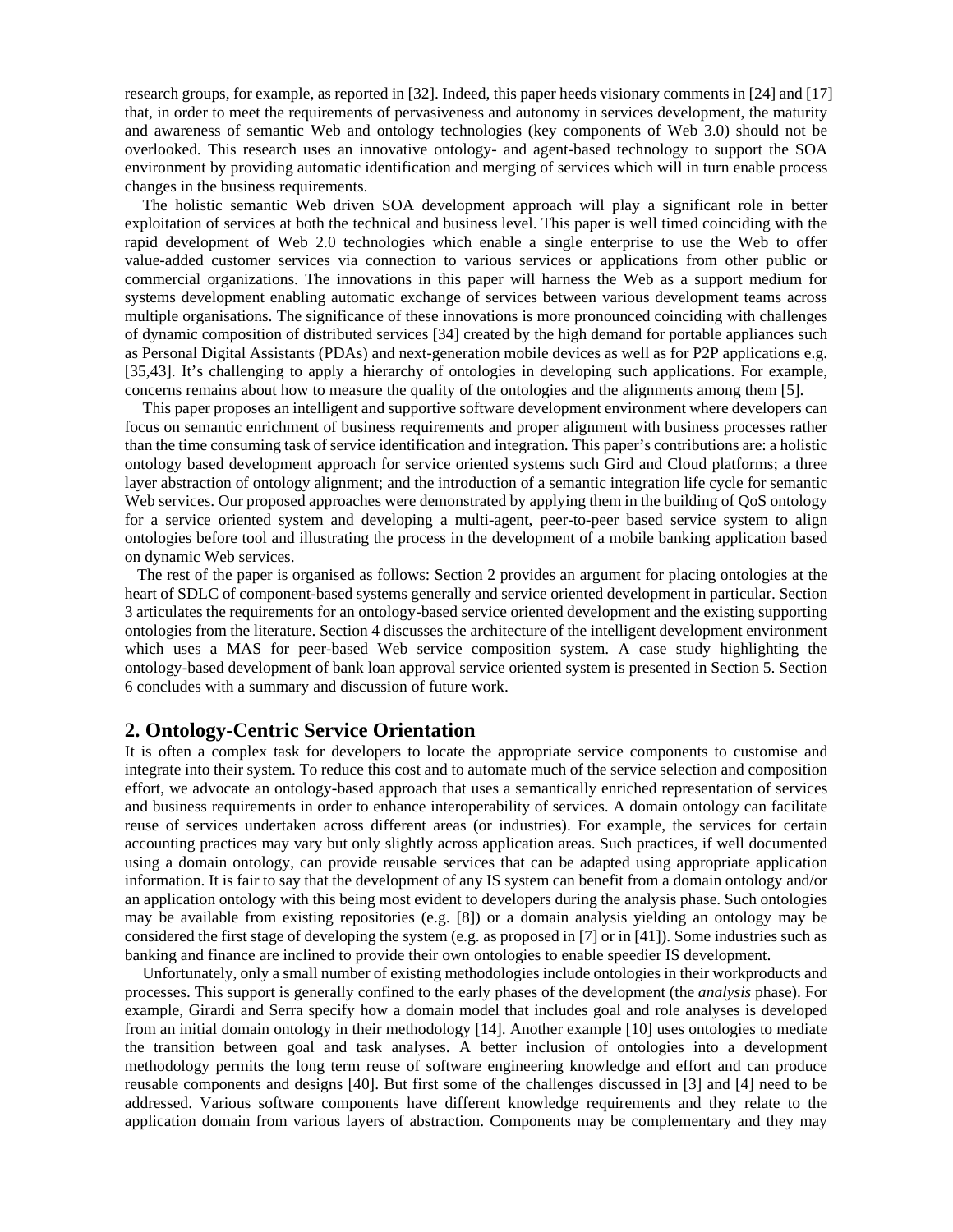research groups, for example, as reported in [32]. Indeed, this paper heeds visionary comments in [24] and [17] that, in order to meet the requirements of pervasiveness and autonomy in services development, the maturity and awareness of semantic Web and ontology technologies (key components of Web 3.0) should not be overlooked. This research uses an innovative ontology- and agent-based technology to support the SOA environment by providing automatic identification and merging of services which will in turn enable process changes in the business requirements.

The holistic semantic Web driven SOA development approach will play a significant role in better exploitation of services at both the technical and business level. This paper is well timed coinciding with the rapid development of Web 2.0 technologies which enable a single enterprise to use the Web to offer value-added customer services via connection to various services or applications from other public or commercial organizations. The innovations in this paper will harness the Web as a support medium for systems development enabling automatic exchange of services between various development teams across multiple organisations. The significance of these innovations is more pronounced coinciding with challenges of dynamic composition of distributed services [34] created by the high demand for portable appliances such as Personal Digital Assistants (PDAs) and next-generation mobile devices as well as for P2P applications e.g. [35,43]. It's challenging to apply a hierarchy of ontologies in developing such applications. For example, concerns remains about how to measure the quality of the ontologies and the alignments among them [5].

This paper proposes an intelligent and supportive software development environment where developers can focus on semantic enrichment of business requirements and proper alignment with business processes rather than the time consuming task of service identification and integration. This paper's contributions are: a holistic ontology based development approach for service oriented systems such Gird and Cloud platforms; a three layer abstraction of ontology alignment; and the introduction of a semantic integration life cycle for semantic Web services. Our proposed approaches were demonstrated by applying them in the building of QoS ontology for a service oriented system and developing a multi-agent, peer-to-peer based service system to align ontologies before tool and illustrating the process in the development of a mobile banking application based on dynamic Web services.

The rest of the paper is organised as follows: Section 2 provides an argument for placing ontologies at the heart of SDLC of component-based systems generally and service oriented development in particular. Section 3 articulates the requirements for an ontology-based service oriented development and the existing supporting ontologies from the literature. Section 4 discusses the architecture of the intelligent development environment which uses a MAS for peer-based Web service composition system. A case study highlighting the ontology-based development of bank loan approval service oriented system is presented in Section 5. Section 6 concludes with a summary and discussion of future work.

### **2. Ontology-Centric Service Orientation**

It is often a complex task for developers to locate the appropriate service components to customise and integrate into their system. To reduce this cost and to automate much of the service selection and composition effort, we advocate an ontology-based approach that uses a semantically enriched representation of services and business requirements in order to enhance interoperability of services. A domain ontology can facilitate reuse of services undertaken across different areas (or industries). For example, the services for certain accounting practices may vary but only slightly across application areas. Such practices, if well documented using a domain ontology, can provide reusable services that can be adapted using appropriate application information. It is fair to say that the development of any IS system can benefit from a domain ontology and/or an application ontology with this being most evident to developers during the analysis phase. Such ontologies may be available from existing repositories (e.g. [8]) or a domain analysis yielding an ontology may be considered the first stage of developing the system (e.g. as proposed in [7] or in [41]). Some industries such as banking and finance are inclined to provide their own ontologies to enable speedier IS development.

Unfortunately, only a small number of existing methodologies include ontologies in their workproducts and processes. This support is generally confined to the early phases of the development (the *analysis* phase). For example, Girardi and Serra specify how a domain model that includes goal and role analyses is developed from an initial domain ontology in their methodology [14]. Another example [10] uses ontologies to mediate the transition between goal and task analyses. A better inclusion of ontologies into a development methodology permits the long term reuse of software engineering knowledge and effort and can produce reusable components and designs [40]. But first some of the challenges discussed in [3] and [4] need to be addressed. Various software components have different knowledge requirements and they relate to the application domain from various layers of abstraction. Components may be complementary and they may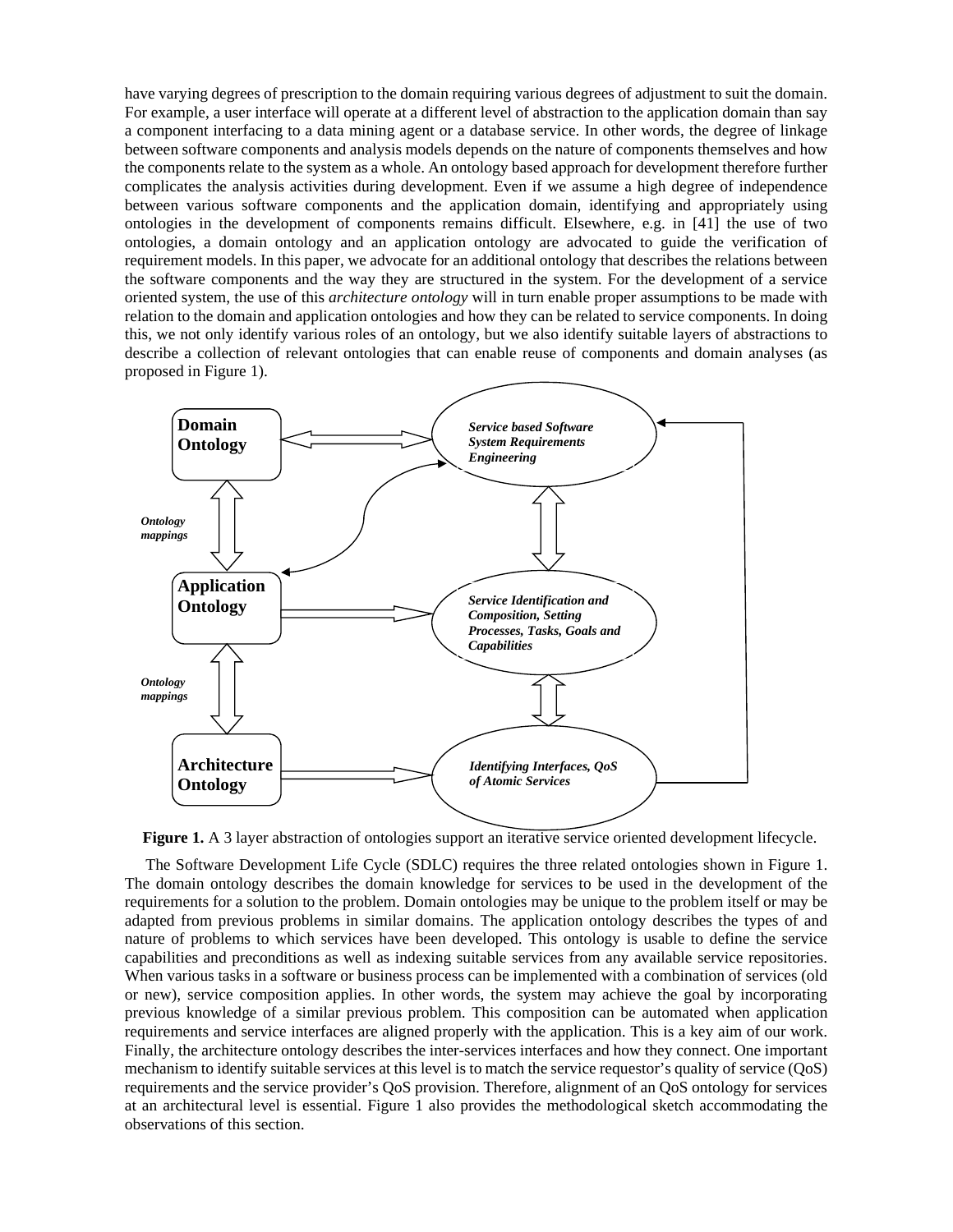have varying degrees of prescription to the domain requiring various degrees of adjustment to suit the domain. For example, a user interface will operate at a different level of abstraction to the application domain than say a component interfacing to a data mining agent or a database service. In other words, the degree of linkage between software components and analysis models depends on the nature of components themselves and how the components relate to the system as a whole. An ontology based approach for development therefore further complicates the analysis activities during development. Even if we assume a high degree of independence between various software components and the application domain, identifying and appropriately using ontologies in the development of components remains difficult. Elsewhere, e.g. in [41] the use of two ontologies, a domain ontology and an application ontology are advocated to guide the verification of requirement models. In this paper, we advocate for an additional ontology that describes the relations between the software components and the way they are structured in the system. For the development of a service oriented system, the use of this *architecture ontology* will in turn enable proper assumptions to be made with relation to the domain and application ontologies and how they can be related to service components. In doing this, we not only identify various roles of an ontology, but we also identify suitable layers of abstractions to describe a collection of relevant ontologies that can enable reuse of components and domain analyses (as proposed in Figure 1).



Figure 1. A 3 layer abstraction of ontologies support an iterative service oriented development lifecycle.

The Software Development Life Cycle (SDLC) requires the three related ontologies shown in Figure 1. The domain ontology describes the domain knowledge for services to be used in the development of the requirements for a solution to the problem. Domain ontologies may be unique to the problem itself or may be adapted from previous problems in similar domains. The application ontology describes the types of and nature of problems to which services have been developed. This ontology is usable to define the service capabilities and preconditions as well as indexing suitable services from any available service repositories. When various tasks in a software or business process can be implemented with a combination of services (old or new), service composition applies. In other words, the system may achieve the goal by incorporating previous knowledge of a similar previous problem. This composition can be automated when application requirements and service interfaces are aligned properly with the application. This is a key aim of our work. Finally, the architecture ontology describes the inter-services interfaces and how they connect. One important mechanism to identify suitable services at this level is to match the service requestor's quality of service (QoS) requirements and the service provider's QoS provision. Therefore, alignment of an QoS ontology for services at an architectural level is essential. Figure 1 also provides the methodological sketch accommodating the observations of this section.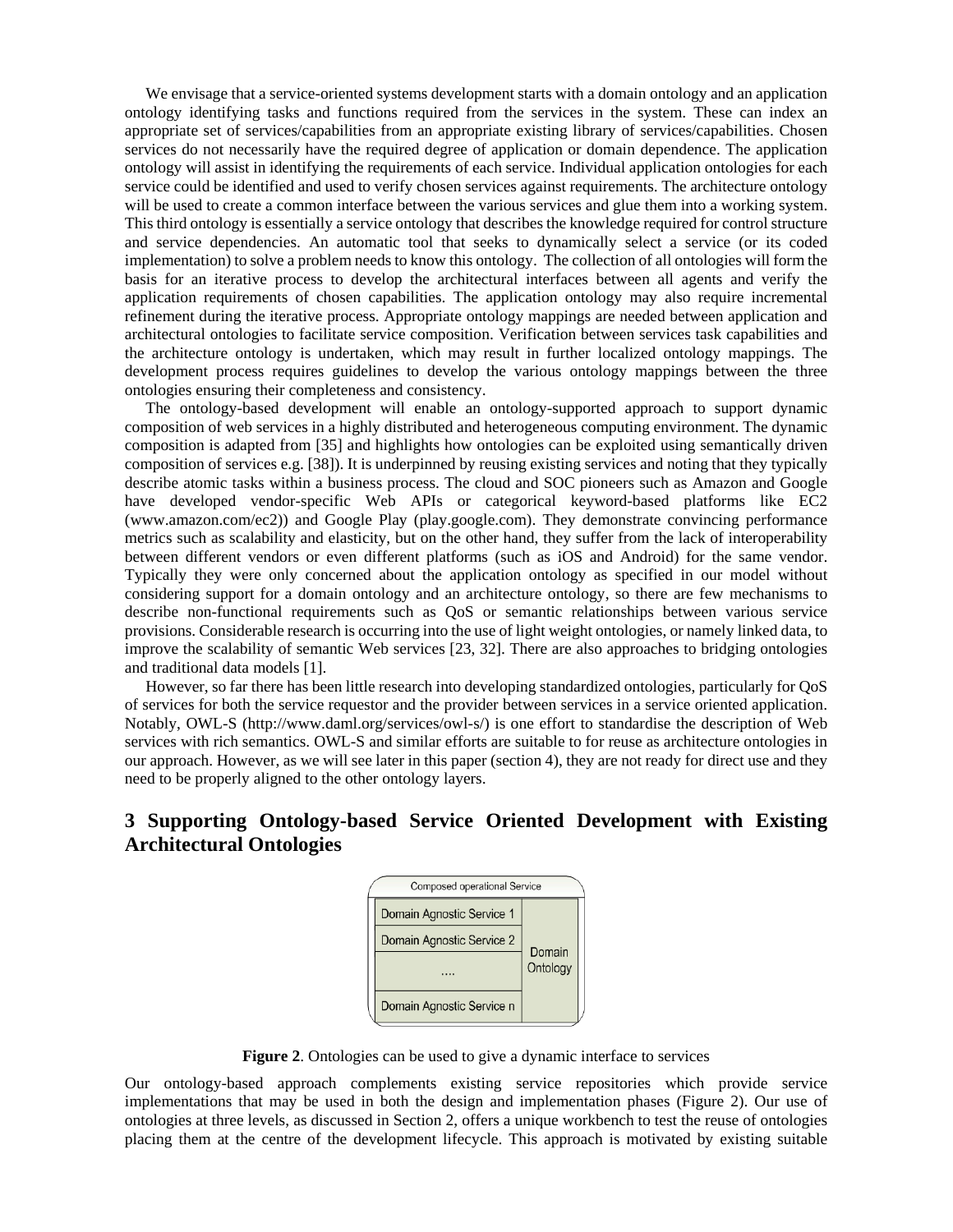We envisage that a service-oriented systems development starts with a domain ontology and an application ontology identifying tasks and functions required from the services in the system. These can index an appropriate set of services/capabilities from an appropriate existing library of services/capabilities. Chosen services do not necessarily have the required degree of application or domain dependence. The application ontology will assist in identifying the requirements of each service. Individual application ontologies for each service could be identified and used to verify chosen services against requirements. The architecture ontology will be used to create a common interface between the various services and glue them into a working system. This third ontology is essentially a service ontology that describes the knowledge required for control structure and service dependencies. An automatic tool that seeks to dynamically select a service (or its coded implementation) to solve a problem needs to know this ontology. The collection of all ontologies will form the basis for an iterative process to develop the architectural interfaces between all agents and verify the application requirements of chosen capabilities. The application ontology may also require incremental refinement during the iterative process. Appropriate ontology mappings are needed between application and architectural ontologies to facilitate service composition. Verification between services task capabilities and the architecture ontology is undertaken, which may result in further localized ontology mappings. The development process requires guidelines to develop the various ontology mappings between the three ontologies ensuring their completeness and consistency.

The ontology-based development will enable an ontology-supported approach to support dynamic composition of web services in a highly distributed and heterogeneous computing environment. The dynamic composition is adapted from [35] and highlights how ontologies can be exploited using semantically driven composition of services e.g. [38]). It is underpinned by reusing existing services and noting that they typically describe atomic tasks within a business process. The cloud and SOC pioneers such as Amazon and Google have developed vendor-specific Web APIs or categorical keyword-based platforms like EC2 (www.amazon.com/ec2)) and Google Play (play.google.com). They demonstrate convincing performance metrics such as scalability and elasticity, but on the other hand, they suffer from the lack of interoperability between different vendors or even different platforms (such as iOS and Android) for the same vendor. Typically they were only concerned about the application ontology as specified in our model without considering support for a domain ontology and an architecture ontology, so there are few mechanisms to describe non-functional requirements such as QoS or semantic relationships between various service provisions. Considerable research is occurring into the use of light weight ontologies, or namely linked data, to improve the scalability of semantic Web services [23, 32]. There are also approaches to bridging ontologies and traditional data models [1].

However, so far there has been little research into developing standardized ontologies, particularly for QoS of services for both the service requestor and the provider between services in a service oriented application. Notably, OWL-S (http://www.daml.org/services/owl-s/) is one effort to standardise the description of Web services with rich semantics. OWL-S and similar efforts are suitable to for reuse as architecture ontologies in our approach. However, as we will see later in this paper (section 4), they are not ready for direct use and they need to be properly aligned to the other ontology layers.

# **3 Supporting Ontology-based Service Oriented Development with Existing Architectural Ontologies**



**Figure 2**. Ontologies can be used to give a dynamic interface to services

Our ontology-based approach complements existing service repositories which provide service implementations that may be used in both the design and implementation phases (Figure 2). Our use of ontologies at three levels, as discussed in Section 2, offers a unique workbench to test the reuse of ontologies placing them at the centre of the development lifecycle. This approach is motivated by existing suitable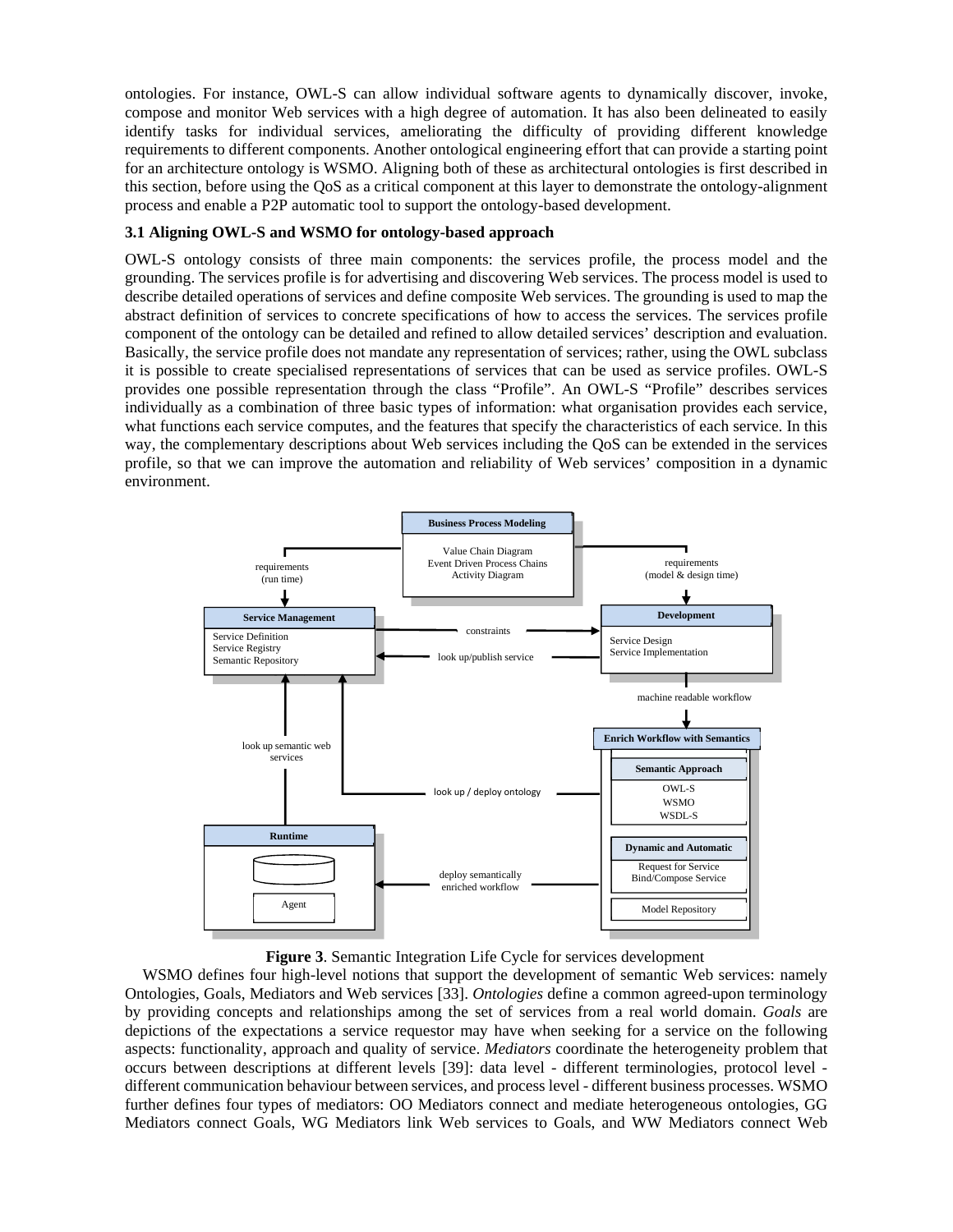ontologies. For instance, OWL-S can allow individual software agents to dynamically discover, invoke, compose and monitor Web services with a high degree of automation. It has also been delineated to easily identify tasks for individual services, ameliorating the difficulty of providing different knowledge requirements to different components. Another ontological engineering effort that can provide a starting point for an architecture ontology is WSMO. Aligning both of these as architectural ontologies is first described in this section, before using the QoS as a critical component at this layer to demonstrate the ontology-alignment process and enable a P2P automatic tool to support the ontology-based development.

### **3.1 Aligning OWL-S and WSMO for ontology-based approach**

OWL-S ontology consists of three main components: the services profile, the process model and the grounding. The services profile is for advertising and discovering Web services. The process model is used to describe detailed operations of services and define composite Web services. The grounding is used to map the abstract definition of services to concrete specifications of how to access the services. The services profile component of the ontology can be detailed and refined to allow detailed services' description and evaluation. Basically, the service profile does not mandate any representation of services; rather, using the OWL subclass it is possible to create specialised representations of services that can be used as service profiles. OWL-S provides one possible representation through the class "Profile". An OWL-S "Profile" describes services individually as a combination of three basic types of information: what organisation provides each service, what functions each service computes, and the features that specify the characteristics of each service. In this way, the complementary descriptions about Web services including the QoS can be extended in the services profile, so that we can improve the automation and reliability of Web services' composition in a dynamic environment.



**Figure 3**. Semantic Integration Life Cycle for services development

WSMO defines four high-level notions that support the development of semantic Web services: namely Ontologies, Goals, Mediators and Web services [33]. *Ontologies* define a common agreed-upon terminology by providing concepts and relationships among the set of services from a real world domain. *Goals* are depictions of the expectations a service requestor may have when seeking for a service on the following aspects: functionality, approach and quality of service. *Mediators* coordinate the heterogeneity problem that occurs between descriptions at different levels [39]: data level - different terminologies, protocol level different communication behaviour between services, and process level - different business processes. WSMO further defines four types of mediators: OO Mediators connect and mediate heterogeneous ontologies, GG Mediators connect Goals, WG Mediators link Web services to Goals, and WW Mediators connect Web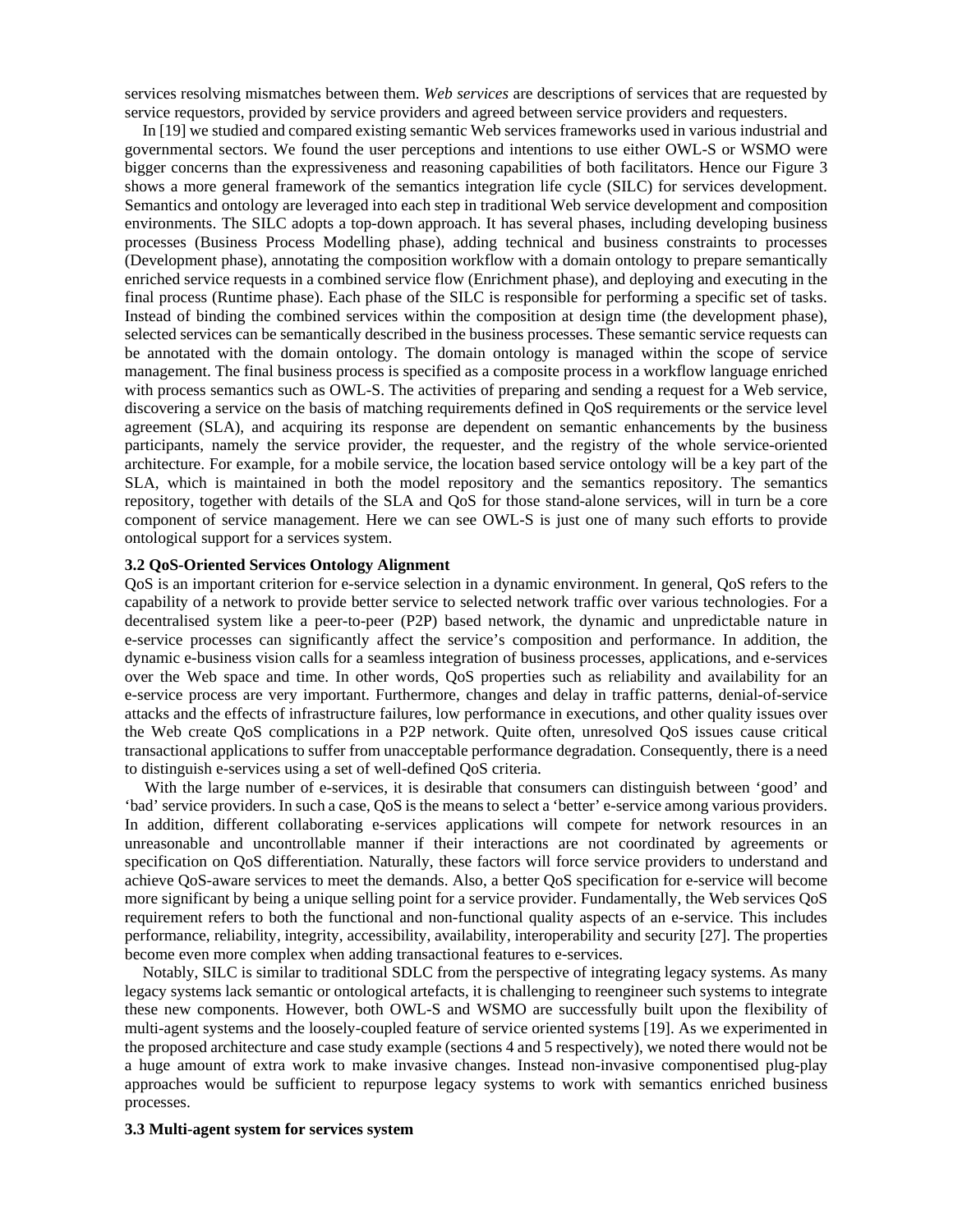services resolving mismatches between them. *Web services* are descriptions of services that are requested by service requestors, provided by service providers and agreed between service providers and requesters.

In [19] we studied and compared existing semantic Web services frameworks used in various industrial and governmental sectors. We found the user perceptions and intentions to use either OWL-S or WSMO were bigger concerns than the expressiveness and reasoning capabilities of both facilitators. Hence our Figure 3 shows a more general framework of the semantics integration life cycle (SILC) for services development. Semantics and ontology are leveraged into each step in traditional Web service development and composition environments. The SILC adopts a top-down approach. It has several phases, including developing business processes (Business Process Modelling phase), adding technical and business constraints to processes (Development phase), annotating the composition workflow with a domain ontology to prepare semantically enriched service requests in a combined service flow (Enrichment phase), and deploying and executing in the final process (Runtime phase). Each phase of the SILC is responsible for performing a specific set of tasks. Instead of binding the combined services within the composition at design time (the development phase), selected services can be semantically described in the business processes. These semantic service requests can be annotated with the domain ontology. The domain ontology is managed within the scope of service management. The final business process is specified as a composite process in a workflow language enriched with process semantics such as OWL-S. The activities of preparing and sending a request for a Web service, discovering a service on the basis of matching requirements defined in QoS requirements or the service level agreement (SLA), and acquiring its response are dependent on semantic enhancements by the business participants, namely the service provider, the requester, and the registry of the whole service-oriented architecture. For example, for a mobile service, the location based service ontology will be a key part of the SLA, which is maintained in both the model repository and the semantics repository. The semantics repository, together with details of the SLA and QoS for those stand-alone services, will in turn be a core component of service management. Here we can see OWL-S is just one of many such efforts to provide ontological support for a services system.

#### **3.2 QoS-Oriented Services Ontology Alignment**

QoS is an important criterion for e-service selection in a dynamic environment. In general, QoS refers to the capability of a network to provide better service to selected network traffic over various technologies. For a decentralised system like a peer-to-peer (P2P) based network, the dynamic and unpredictable nature in e-service processes can significantly affect the service's composition and performance. In addition, the dynamic e-business vision calls for a seamless integration of business processes, applications, and e-services over the Web space and time. In other words, QoS properties such as reliability and availability for an e-service process are very important. Furthermore, changes and delay in traffic patterns, denial-of-service attacks and the effects of infrastructure failures, low performance in executions, and other quality issues over the Web create QoS complications in a P2P network. Quite often, unresolved QoS issues cause critical transactional applications to suffer from unacceptable performance degradation. Consequently, there is a need to distinguish e-services using a set of well-defined QoS criteria.

With the large number of e-services, it is desirable that consumers can distinguish between 'good' and 'bad' service providers. In such a case, QoS is the means to select a 'better' e-service among various providers. In addition, different collaborating e-services applications will compete for network resources in an unreasonable and uncontrollable manner if their interactions are not coordinated by agreements or specification on QoS differentiation. Naturally, these factors will force service providers to understand and achieve QoS-aware services to meet the demands. Also, a better QoS specification for e-service will become more significant by being a unique selling point for a service provider. Fundamentally, the Web services QoS requirement refers to both the functional and non-functional quality aspects of an e-service. This includes performance, reliability, integrity, accessibility, availability, interoperability and security [27]. The properties become even more complex when adding transactional features to e-services.

Notably, SILC is similar to traditional SDLC from the perspective of integrating legacy systems. As many legacy systems lack semantic or ontological artefacts, it is challenging to reengineer such systems to integrate these new components. However, both OWL-S and WSMO are successfully built upon the flexibility of multi-agent systems and the loosely-coupled feature of service oriented systems [19]. As we experimented in the proposed architecture and case study example (sections 4 and 5 respectively), we noted there would not be a huge amount of extra work to make invasive changes. Instead non-invasive componentised plug-play approaches would be sufficient to repurpose legacy systems to work with semantics enriched business processes.

#### **3.3 Multi-agent system for services system**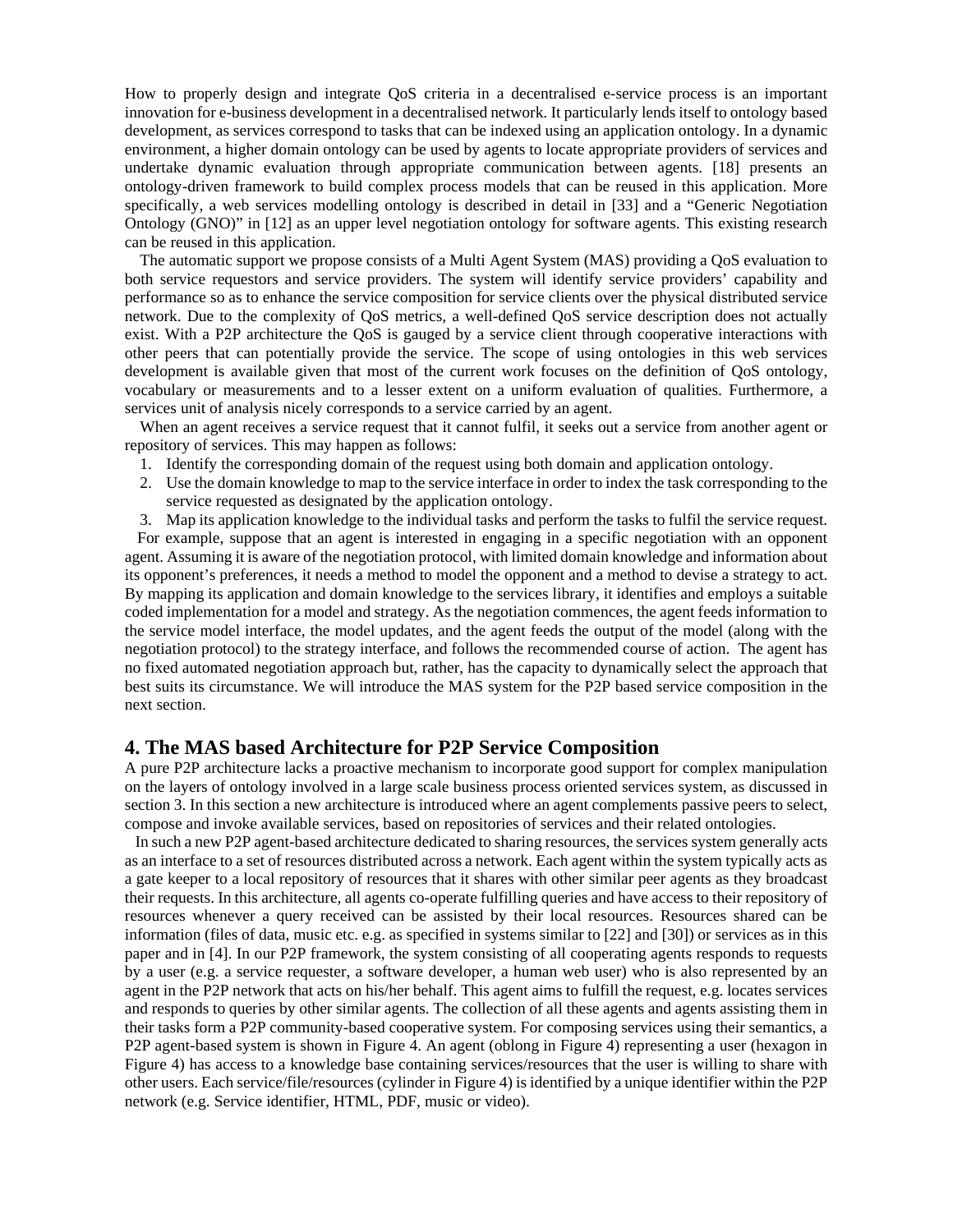How to properly design and integrate QoS criteria in a decentralised e-service process is an important innovation for e-business development in a decentralised network. It particularly lends itself to ontology based development, as services correspond to tasks that can be indexed using an application ontology. In a dynamic environment, a higher domain ontology can be used by agents to locate appropriate providers of services and undertake dynamic evaluation through appropriate communication between agents. [18] presents an ontology-driven framework to build complex process models that can be reused in this application. More specifically, a web services modelling ontology is described in detail in [33] and a "Generic Negotiation Ontology (GNO)" in [12] as an upper level negotiation ontology for software agents. This existing research can be reused in this application.

The automatic support we propose consists of a Multi Agent System (MAS) providing a QoS evaluation to both service requestors and service providers. The system will identify service providers' capability and performance so as to enhance the service composition for service clients over the physical distributed service network. Due to the complexity of QoS metrics, a well-defined QoS service description does not actually exist. With a P2P architecture the QoS is gauged by a service client through cooperative interactions with other peers that can potentially provide the service. The scope of using ontologies in this web services development is available given that most of the current work focuses on the definition of QoS ontology, vocabulary or measurements and to a lesser extent on a uniform evaluation of qualities. Furthermore, a services unit of analysis nicely corresponds to a service carried by an agent.

When an agent receives a service request that it cannot fulfil, it seeks out a service from another agent or repository of services. This may happen as follows:

- 1. Identify the corresponding domain of the request using both domain and application ontology.
- 2. Use the domain knowledge to map to the service interface in order to index the task corresponding to the service requested as designated by the application ontology.
- 3. Map its application knowledge to the individual tasks and perform the tasks to fulfil the service request.

For example, suppose that an agent is interested in engaging in a specific negotiation with an opponent agent. Assuming it is aware of the negotiation protocol, with limited domain knowledge and information about its opponent's preferences, it needs a method to model the opponent and a method to devise a strategy to act. By mapping its application and domain knowledge to the services library, it identifies and employs a suitable coded implementation for a model and strategy. As the negotiation commences, the agent feeds information to the service model interface, the model updates, and the agent feeds the output of the model (along with the negotiation protocol) to the strategy interface, and follows the recommended course of action. The agent has no fixed automated negotiation approach but, rather, has the capacity to dynamically select the approach that best suits its circumstance. We will introduce the MAS system for the P2P based service composition in the next section.

### **4. The MAS based Architecture for P2P Service Composition**

A pure P2P architecture lacks a proactive mechanism to incorporate good support for complex manipulation on the layers of ontology involved in a large scale business process oriented services system, as discussed in section 3. In this section a new architecture is introduced where an agent complements passive peers to select, compose and invoke available services, based on repositories of services and their related ontologies.

In such a new P2P agent-based architecture dedicated to sharing resources, the services system generally acts as an interface to a set of resources distributed across a network. Each agent within the system typically acts as a gate keeper to a local repository of resources that it shares with other similar peer agents as they broadcast their requests. In this architecture, all agents co-operate fulfilling queries and have access to their repository of resources whenever a query received can be assisted by their local resources. Resources shared can be information (files of data, music etc. e.g. as specified in systems similar to [22] and [30]) or services as in this paper and in [4]. In our P2P framework, the system consisting of all cooperating agents responds to requests by a user (e.g. a service requester, a software developer, a human web user) who is also represented by an agent in the P2P network that acts on his/her behalf. This agent aims to fulfill the request, e.g. locates services and responds to queries by other similar agents. The collection of all these agents and agents assisting them in their tasks form a P2P community-based cooperative system. For composing services using their semantics, a P2P agent-based system is shown in Figure 4. An agent (oblong in Figure 4) representing a user (hexagon in Figure 4) has access to a knowledge base containing services/resources that the user is willing to share with other users. Each service/file/resources (cylinder in Figure 4) is identified by a unique identifier within the P2P network (e.g. Service identifier, HTML, PDF, music or video).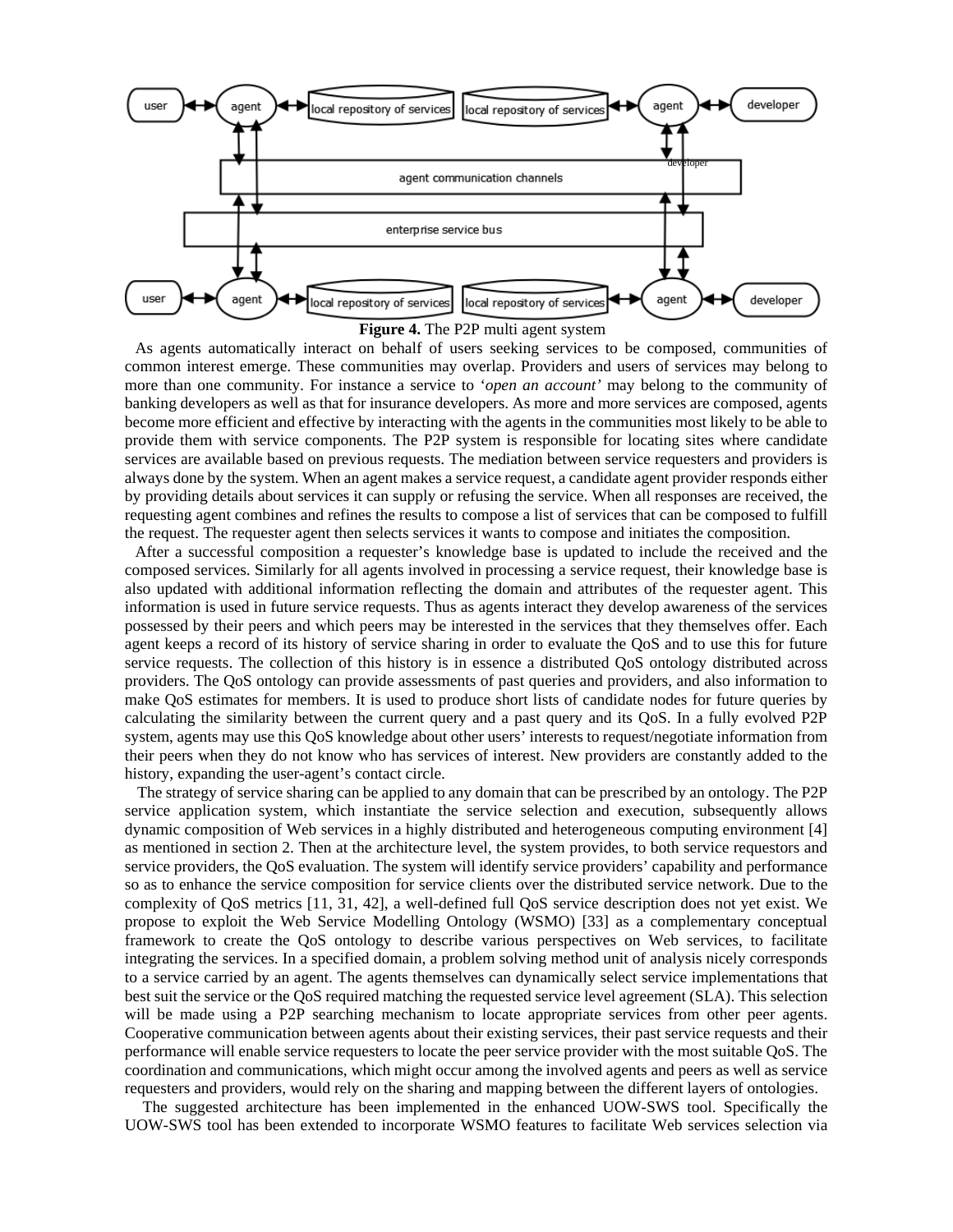

**Figure 4.** The P2P multi agent system

As agents automatically interact on behalf of users seeking services to be composed, communities of common interest emerge. These communities may overlap. Providers and users of services may belong to more than one community. For instance a service to '*open an account'* may belong to the community of banking developers as well as that for insurance developers. As more and more services are composed, agents become more efficient and effective by interacting with the agents in the communities most likely to be able to provide them with service components. The P2P system is responsible for locating sites where candidate services are available based on previous requests. The mediation between service requesters and providers is always done by the system. When an agent makes a service request, a candidate agent provider responds either by providing details about services it can supply or refusing the service. When all responses are received, the requesting agent combines and refines the results to compose a list of services that can be composed to fulfill the request. The requester agent then selects services it wants to compose and initiates the composition.

After a successful composition a requester's knowledge base is updated to include the received and the composed services. Similarly for all agents involved in processing a service request, their knowledge base is also updated with additional information reflecting the domain and attributes of the requester agent. This information is used in future service requests. Thus as agents interact they develop awareness of the services possessed by their peers and which peers may be interested in the services that they themselves offer. Each agent keeps a record of its history of service sharing in order to evaluate the QoS and to use this for future service requests. The collection of this history is in essence a distributed QoS ontology distributed across providers. The QoS ontology can provide assessments of past queries and providers, and also information to make QoS estimates for members. It is used to produce short lists of candidate nodes for future queries by calculating the similarity between the current query and a past query and its QoS. In a fully evolved P2P system, agents may use this QoS knowledge about other users' interests to request/negotiate information from their peers when they do not know who has services of interest. New providers are constantly added to the history, expanding the user-agent's contact circle.

The strategy of service sharing can be applied to any domain that can be prescribed by an ontology. The P2P service application system, which instantiate the service selection and execution, subsequently allows dynamic composition of Web services in a highly distributed and heterogeneous computing environment [4] as mentioned in section 2. Then at the architecture level, the system provides, to both service requestors and service providers, the QoS evaluation. The system will identify service providers' capability and performance so as to enhance the service composition for service clients over the distributed service network. Due to the complexity of QoS metrics [11, 31, 42], a well-defined full QoS service description does not yet exist. We propose to exploit the Web Service Modelling Ontology (WSMO) [33] as a complementary conceptual framework to create the QoS ontology to describe various perspectives on Web services, to facilitate integrating the services. In a specified domain, a problem solving method unit of analysis nicely corresponds to a service carried by an agent. The agents themselves can dynamically select service implementations that best suit the service or the QoS required matching the requested service level agreement (SLA). This selection will be made using a P2P searching mechanism to locate appropriate services from other peer agents. Cooperative communication between agents about their existing services, their past service requests and their performance will enable service requesters to locate the peer service provider with the most suitable QoS. The coordination and communications, which might occur among the involved agents and peers as well as service requesters and providers, would rely on the sharing and mapping between the different layers of ontologies.

The suggested architecture has been implemented in the enhanced UOW-SWS tool. Specifically the UOW-SWS tool has been extended to incorporate WSMO features to facilitate Web services selection via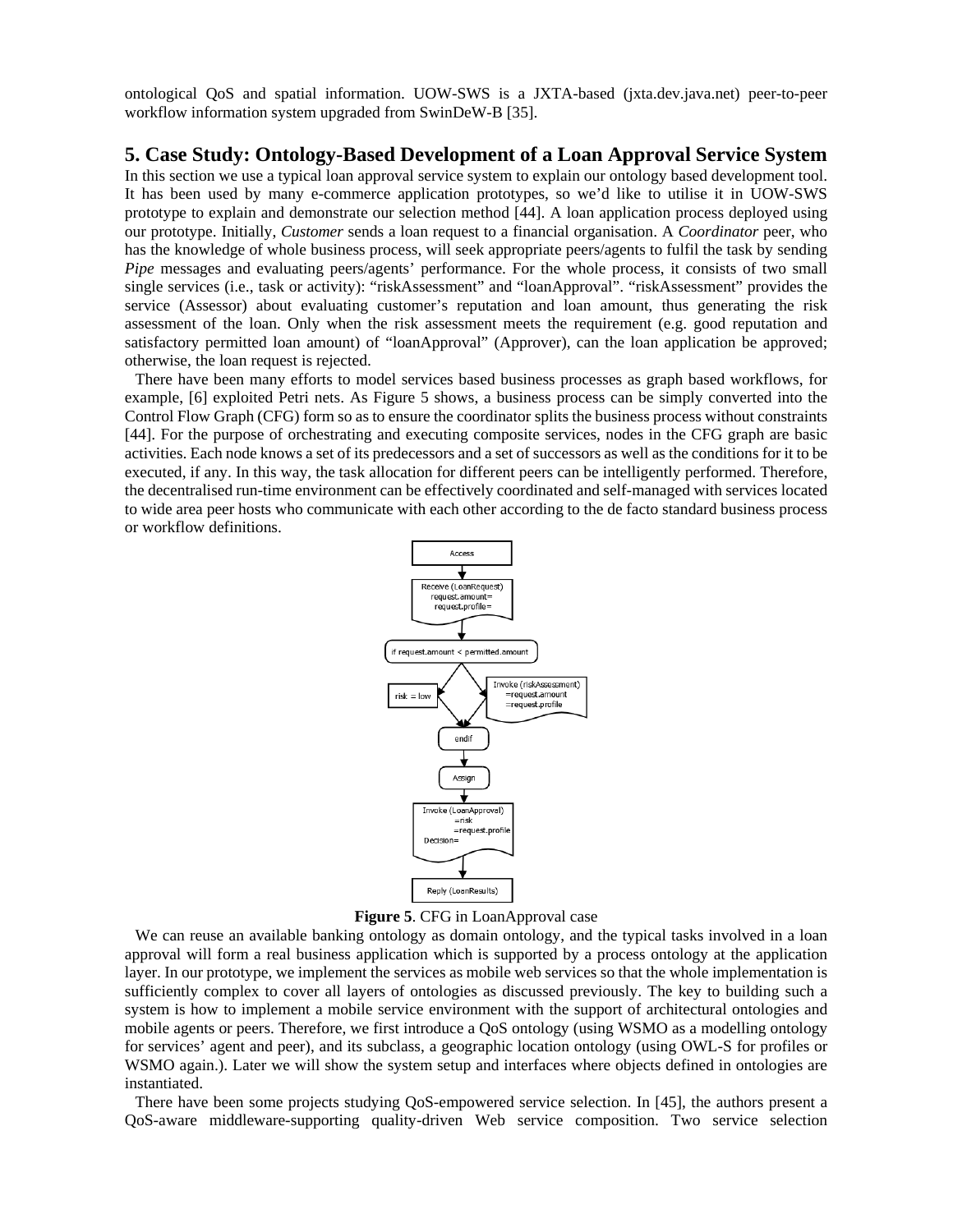ontological QoS and spatial information. UOW-SWS is a JXTA-based (jxta.dev.java.net) peer-to-peer workflow information system upgraded from SwinDeW-B [35].

### **5. Case Study: Ontology-Based Development of a Loan Approval Service System**

In this section we use a typical loan approval service system to explain our ontology based development tool. It has been used by many e-commerce application prototypes, so we'd like to utilise it in UOW-SWS prototype to explain and demonstrate our selection method [44]. A loan application process deployed using our prototype. Initially, *Customer* sends a loan request to a financial organisation. A *Coordinator* peer, who has the knowledge of whole business process, will seek appropriate peers/agents to fulfil the task by sending *Pipe* messages and evaluating peers/agents' performance. For the whole process, it consists of two small single services (i.e., task or activity): "riskAssessment" and "loanApproval". "riskAssessment" provides the service (Assessor) about evaluating customer's reputation and loan amount, thus generating the risk assessment of the loan. Only when the risk assessment meets the requirement (e.g. good reputation and satisfactory permitted loan amount) of "loanApproval" (Approver), can the loan application be approved; otherwise, the loan request is rejected.

There have been many efforts to model services based business processes as graph based workflows, for example, [6] exploited Petri nets. As Figure 5 shows, a business process can be simply converted into the Control Flow Graph (CFG) form so as to ensure the coordinator splits the business process without constraints [44]. For the purpose of orchestrating and executing composite services, nodes in the CFG graph are basic activities. Each node knows a set of its predecessors and a set of successors as well as the conditions for it to be executed, if any. In this way, the task allocation for different peers can be intelligently performed. Therefore, the decentralised run-time environment can be effectively coordinated and self-managed with services located to wide area peer hosts who communicate with each other according to the de facto standard business process or workflow definitions.



**Figure 5**. CFG in LoanApproval case

We can reuse an available banking ontology as domain ontology, and the typical tasks involved in a loan approval will form a real business application which is supported by a process ontology at the application layer. In our prototype, we implement the services as mobile web services so that the whole implementation is sufficiently complex to cover all layers of ontologies as discussed previously. The key to building such a system is how to implement a mobile service environment with the support of architectural ontologies and mobile agents or peers. Therefore, we first introduce a QoS ontology (using WSMO as a modelling ontology for services' agent and peer), and its subclass, a geographic location ontology (using OWL-S for profiles or WSMO again.). Later we will show the system setup and interfaces where objects defined in ontologies are instantiated.

There have been some projects studying QoS-empowered service selection. In [45], the authors present a QoS-aware middleware-supporting quality-driven Web service composition. Two service selection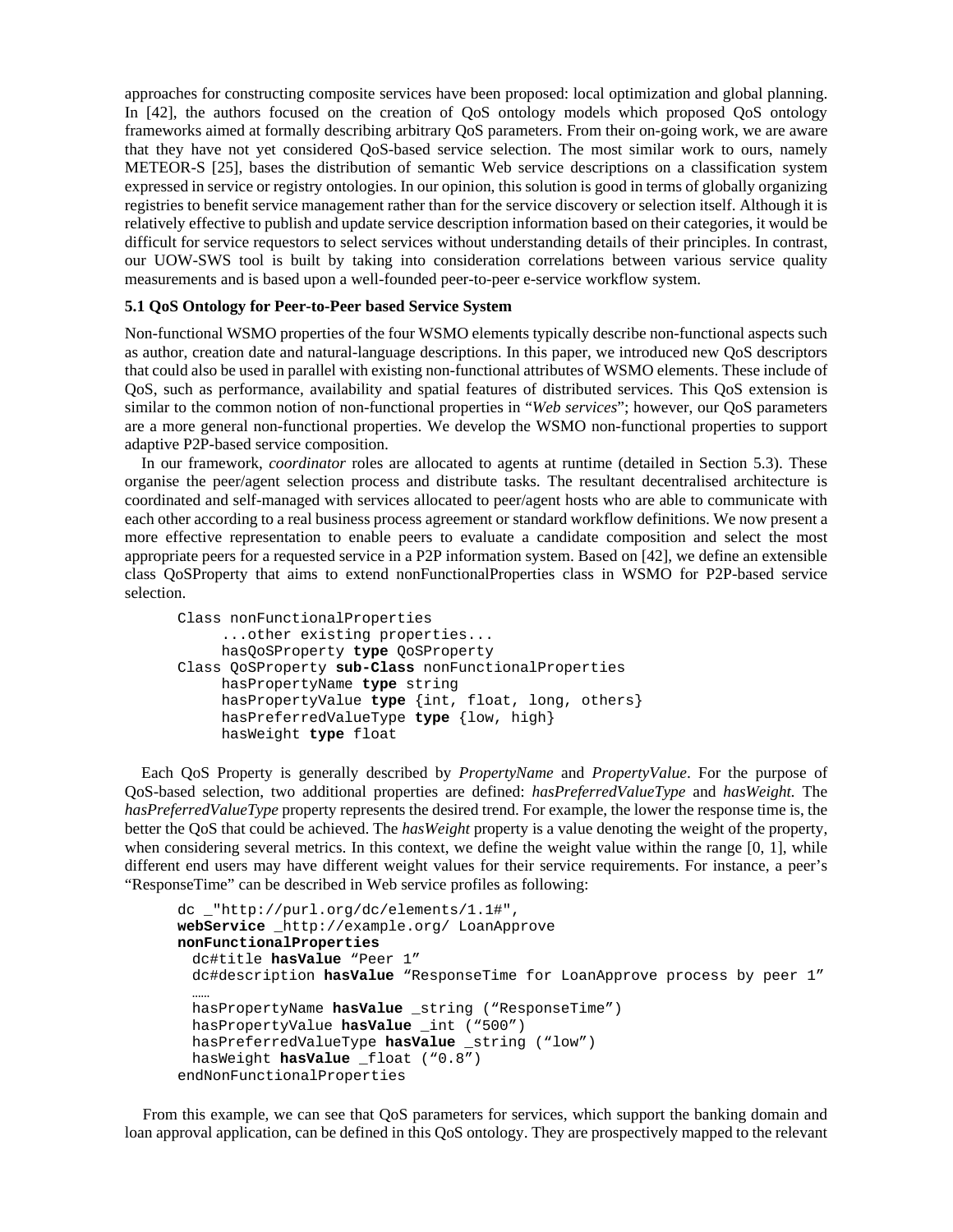approaches for constructing composite services have been proposed: local optimization and global planning. In [42], the authors focused on the creation of QoS ontology models which proposed QoS ontology frameworks aimed at formally describing arbitrary QoS parameters. From their on-going work, we are aware that they have not yet considered QoS-based service selection. The most similar work to ours, namely METEOR-S [25], bases the distribution of semantic Web service descriptions on a classification system expressed in service or registry ontologies. In our opinion, this solution is good in terms of globally organizing registries to benefit service management rather than for the service discovery or selection itself. Although it is relatively effective to publish and update service description information based on their categories, it would be difficult for service requestors to select services without understanding details of their principles. In contrast, our UOW-SWS tool is built by taking into consideration correlations between various service quality measurements and is based upon a well-founded peer-to-peer e-service workflow system.

### **5.1 QoS Ontology for Peer-to-Peer based Service System**

Non-functional WSMO properties of the four WSMO elements typically describe non-functional aspects such as author, creation date and natural-language descriptions. In this paper, we introduced new QoS descriptors that could also be used in parallel with existing non-functional attributes of WSMO elements. These include of QoS, such as performance, availability and spatial features of distributed services. This QoS extension is similar to the common notion of non-functional properties in "*Web services*"; however, our QoS parameters are a more general non-functional properties. We develop the WSMO non-functional properties to support adaptive P2P-based service composition.

In our framework, *coordinator* roles are allocated to agents at runtime (detailed in Section 5.3). These organise the peer/agent selection process and distribute tasks. The resultant decentralised architecture is coordinated and self-managed with services allocated to peer/agent hosts who are able to communicate with each other according to a real business process agreement or standard workflow definitions. We now present a more effective representation to enable peers to evaluate a candidate composition and select the most appropriate peers for a requested service in a P2P information system. Based on [42], we define an extensible class QoSProperty that aims to extend nonFunctionalProperties class in WSMO for P2P-based service selection.

```
Class nonFunctionalProperties 
     ...other existing properties... 
     hasQoSProperty type QoSProperty 
Class QoSProperty sub-Class nonFunctionalProperties 
     hasPropertyName type string 
     hasPropertyValue type {int, float, long, others} 
     hasPreferredValueType type {low, high} 
     hasWeight type float
```
Each QoS Property is generally described by *PropertyName* and *PropertyValue*. For the purpose of QoS-based selection, two additional properties are defined: *hasPreferredValueType* and *hasWeight.* The *hasPreferredValueType* property represents the desired trend. For example, the lower the response time is, the better the QoS that could be achieved. The *hasWeight* property is a value denoting the weight of the property, when considering several metrics. In this context, we define the weight value within the range [0, 1], while different end users may have different weight values for their service requirements. For instance, a peer's "ResponseTime" can be described in Web service profiles as following:

```
dc _"http://purl.org/dc/elements/1.1#", 
webService _http://example.org/ LoanApprove 
nonFunctionalProperties 
 dc#title hasValue "Peer 1" 
 dc#description hasValue "ResponseTime for LoanApprove process by peer 1" 
 …… 
 hasPropertyName hasValue _string ("ResponseTime") 
 hasPropertyValue hasValue _int ("500") 
 hasPreferredValueType hasValue _string ("low") 
 hasWeight hasValue _float ("0.8") 
endNonFunctionalProperties
```
From this example, we can see that QoS parameters for services, which support the banking domain and loan approval application, can be defined in this QoS ontology. They are prospectively mapped to the relevant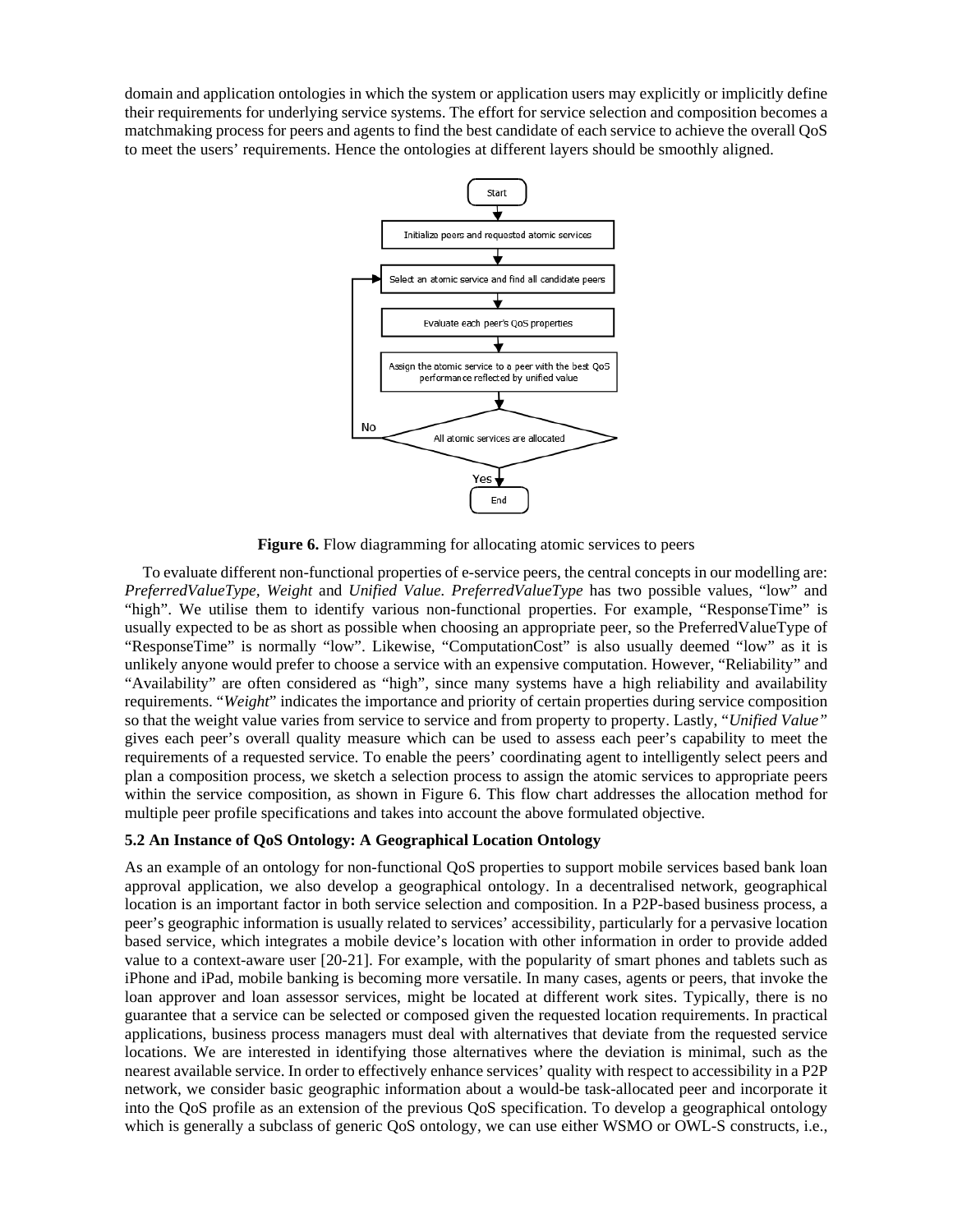domain and application ontologies in which the system or application users may explicitly or implicitly define their requirements for underlying service systems. The effort for service selection and composition becomes a matchmaking process for peers and agents to find the best candidate of each service to achieve the overall QoS to meet the users' requirements. Hence the ontologies at different layers should be smoothly aligned.



**Figure 6.** Flow diagramming for allocating atomic services to peers

To evaluate different non-functional properties of e-service peers, the central concepts in our modelling are: *PreferredValueType, Weight* and *Unified Value. PreferredValueType* has two possible values, "low" and "high". We utilise them to identify various non-functional properties. For example, "ResponseTime" is usually expected to be as short as possible when choosing an appropriate peer, so the PreferredValueType of "ResponseTime" is normally "low". Likewise, "ComputationCost" is also usually deemed "low" as it is unlikely anyone would prefer to choose a service with an expensive computation. However, "Reliability" and "Availability" are often considered as "high", since many systems have a high reliability and availability requirements. "*Weight*" indicates the importance and priority of certain properties during service composition so that the weight value varies from service to service and from property to property. Lastly, "*Unified Value"* gives each peer's overall quality measure which can be used to assess each peer's capability to meet the requirements of a requested service. To enable the peers' coordinating agent to intelligently select peers and plan a composition process, we sketch a selection process to assign the atomic services to appropriate peers within the service composition, as shown in Figure 6. This flow chart addresses the allocation method for multiple peer profile specifications and takes into account the above formulated objective.

#### **5.2 An Instance of QoS Ontology: A Geographical Location Ontology**

As an example of an ontology for non-functional QoS properties to support mobile services based bank loan approval application, we also develop a geographical ontology. In a decentralised network, geographical location is an important factor in both service selection and composition. In a P2P-based business process, a peer's geographic information is usually related to services' accessibility, particularly for a pervasive location based service, which integrates a mobile device's location with other information in order to provide added value to a context-aware user [20-21]. For example, with the popularity of smart phones and tablets such as iPhone and iPad, mobile banking is becoming more versatile. In many cases, agents or peers, that invoke the loan approver and loan assessor services, might be located at different work sites. Typically, there is no guarantee that a service can be selected or composed given the requested location requirements. In practical applications, business process managers must deal with alternatives that deviate from the requested service locations. We are interested in identifying those alternatives where the deviation is minimal, such as the nearest available service. In order to effectively enhance services' quality with respect to accessibility in a P2P network, we consider basic geographic information about a would-be task-allocated peer and incorporate it into the QoS profile as an extension of the previous QoS specification. To develop a geographical ontology which is generally a subclass of generic QoS ontology, we can use either WSMO or OWL-S constructs, i.e.,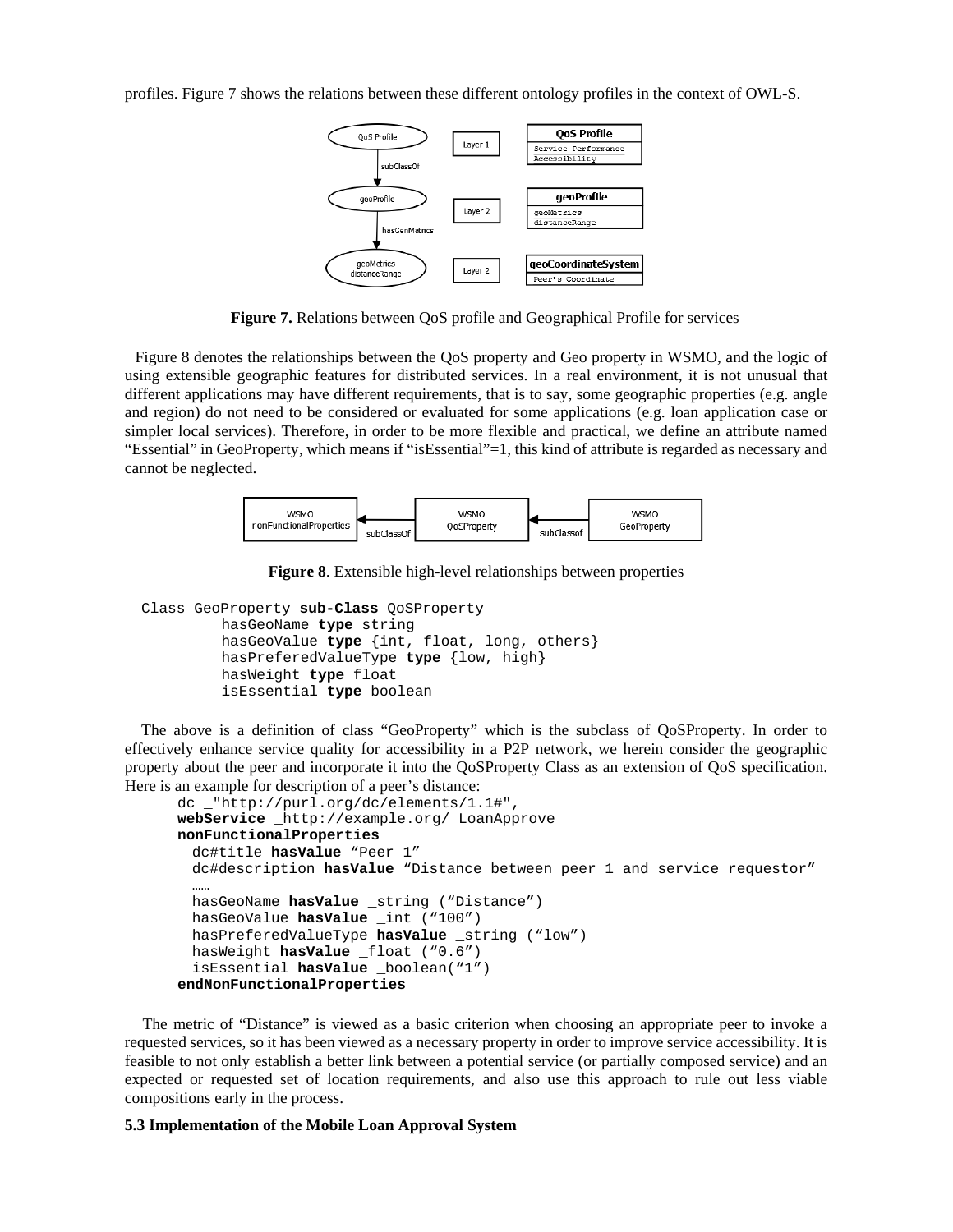profiles. Figure 7 shows the relations between these different ontology profiles in the context of OWL-S.



**Figure 7.** Relations between QoS profile and Geographical Profile for services

Figure 8 denotes the relationships between the QoS property and Geo property in WSMO, and the logic of using extensible geographic features for distributed services. In a real environment, it is not unusual that different applications may have different requirements, that is to say, some geographic properties (e.g. angle and region) do not need to be considered or evaluated for some applications (e.g. loan application case or simpler local services). Therefore, in order to be more flexible and practical, we define an attribute named "Essential" in GeoProperty, which means if "isEssential"=1, this kind of attribute is regarded as necessary and cannot be neglected.



**Figure 8**. Extensible high-level relationships between properties

```
Class GeoProperty sub-Class QoSProperty 
         hasGeoName type string 
         hasGeoValue type {int, float, long, others} 
         hasPreferedValueType type {low, high} 
         hasWeight type float 
         isEssential type boolean
```
The above is a definition of class "GeoProperty" which is the subclass of QoSProperty. In order to effectively enhance service quality for accessibility in a P2P network, we herein consider the geographic property about the peer and incorporate it into the QoSProperty Class as an extension of QoS specification. Here is an example for description of a peer's distance:

```
dc _"http://purl.org/dc/elements/1.1#", 
webService _http://example.org/ LoanApprove 
nonFunctionalProperties 
 dc#title hasValue "Peer 1" 
 dc#description hasValue "Distance between peer 1 and service requestor" 
  …… 
 hasGeoName hasValue _string ("Distance") 
 hasGeoValue hasValue _int ("100") 
 hasPreferedValueType hasValue _string ("low") 
 hasWeight hasValue _float ("0.6") 
 isEssential hasValue _boolean("1") 
endNonFunctionalProperties
```
The metric of "Distance" is viewed as a basic criterion when choosing an appropriate peer to invoke a requested services, so it has been viewed as a necessary property in order to improve service accessibility. It is feasible to not only establish a better link between a potential service (or partially composed service) and an expected or requested set of location requirements, and also use this approach to rule out less viable compositions early in the process.

#### **5.3 Implementation of the Mobile Loan Approval System**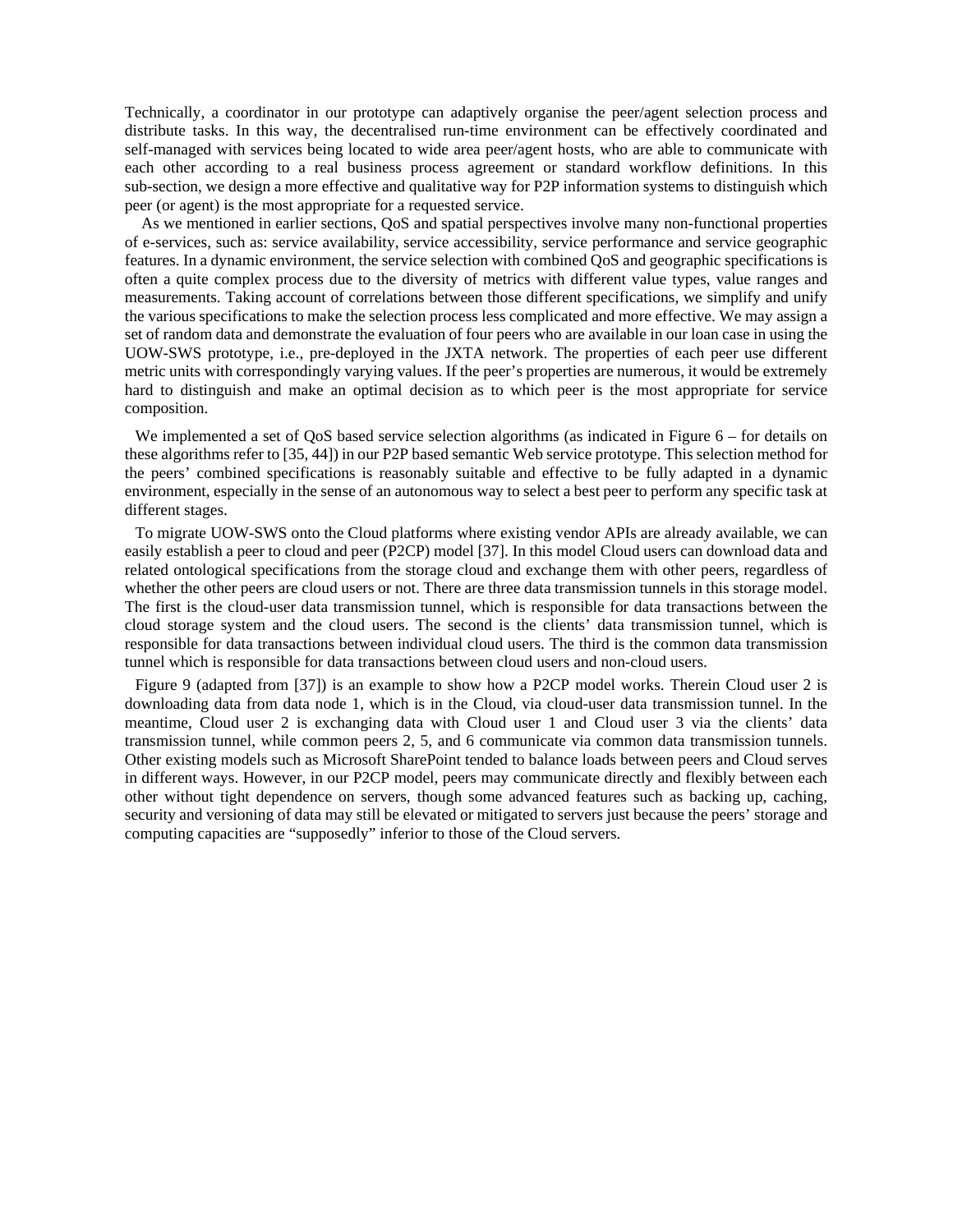Technically, a coordinator in our prototype can adaptively organise the peer/agent selection process and distribute tasks. In this way, the decentralised run-time environment can be effectively coordinated and self-managed with services being located to wide area peer/agent hosts, who are able to communicate with each other according to a real business process agreement or standard workflow definitions. In this sub-section, we design a more effective and qualitative way for P2P information systems to distinguish which peer (or agent) is the most appropriate for a requested service.

As we mentioned in earlier sections, QoS and spatial perspectives involve many non-functional properties of e-services, such as: service availability, service accessibility, service performance and service geographic features. In a dynamic environment, the service selection with combined QoS and geographic specifications is often a quite complex process due to the diversity of metrics with different value types, value ranges and measurements. Taking account of correlations between those different specifications, we simplify and unify the various specifications to make the selection process less complicated and more effective. We may assign a set of random data and demonstrate the evaluation of four peers who are available in our loan case in using the UOW-SWS prototype, i.e., pre-deployed in the JXTA network. The properties of each peer use different metric units with correspondingly varying values. If the peer's properties are numerous, it would be extremely hard to distinguish and make an optimal decision as to which peer is the most appropriate for service composition.

We implemented a set of QoS based service selection algorithms (as indicated in Figure 6 – for details on these algorithms refer to [35, 44]) in our P2P based semantic Web service prototype. This selection method for the peers' combined specifications is reasonably suitable and effective to be fully adapted in a dynamic environment, especially in the sense of an autonomous way to select a best peer to perform any specific task at different stages.

To migrate UOW-SWS onto the Cloud platforms where existing vendor APIs are already available, we can easily establish a peer to cloud and peer (P2CP) model [37]. In this model Cloud users can download data and related ontological specifications from the storage cloud and exchange them with other peers, regardless of whether the other peers are cloud users or not. There are three data transmission tunnels in this storage model. The first is the cloud-user data transmission tunnel, which is responsible for data transactions between the cloud storage system and the cloud users. The second is the clients' data transmission tunnel, which is responsible for data transactions between individual cloud users. The third is the common data transmission tunnel which is responsible for data transactions between cloud users and non-cloud users.

Figure 9 (adapted from [37]) is an example to show how a P2CP model works. Therein Cloud user 2 is downloading data from data node 1, which is in the Cloud, via cloud-user data transmission tunnel. In the meantime, Cloud user 2 is exchanging data with Cloud user 1 and Cloud user 3 via the clients' data transmission tunnel, while common peers 2, 5, and 6 communicate via common data transmission tunnels. Other existing models such as Microsoft SharePoint tended to balance loads between peers and Cloud serves in different ways. However, in our P2CP model, peers may communicate directly and flexibly between each other without tight dependence on servers, though some advanced features such as backing up, caching, security and versioning of data may still be elevated or mitigated to servers just because the peers' storage and computing capacities are "supposedly" inferior to those of the Cloud servers.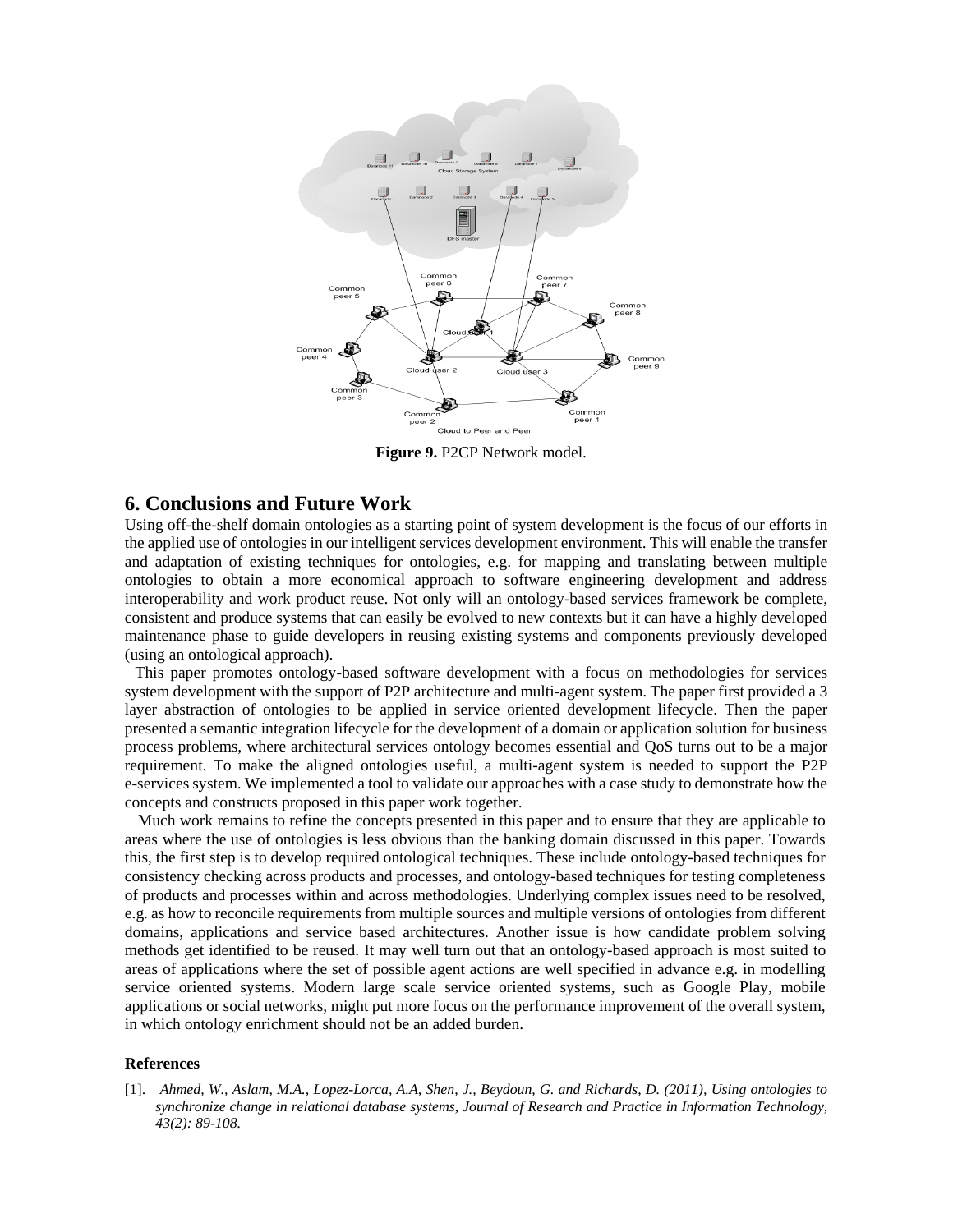

**Figure 9.** P2CP Network model.

## **6. Conclusions and Future Work**

Using off-the-shelf domain ontologies as a starting point of system development is the focus of our efforts in the applied use of ontologies in our intelligent services development environment. This will enable the transfer and adaptation of existing techniques for ontologies, e.g. for mapping and translating between multiple ontologies to obtain a more economical approach to software engineering development and address interoperability and work product reuse. Not only will an ontology-based services framework be complete, consistent and produce systems that can easily be evolved to new contexts but it can have a highly developed maintenance phase to guide developers in reusing existing systems and components previously developed (using an ontological approach).

This paper promotes ontology-based software development with a focus on methodologies for services system development with the support of P2P architecture and multi-agent system. The paper first provided a 3 layer abstraction of ontologies to be applied in service oriented development lifecycle. Then the paper presented a semantic integration lifecycle for the development of a domain or application solution for business process problems, where architectural services ontology becomes essential and QoS turns out to be a major requirement. To make the aligned ontologies useful, a multi-agent system is needed to support the P2P e-services system. We implemented a tool to validate our approaches with a case study to demonstrate how the concepts and constructs proposed in this paper work together.

Much work remains to refine the concepts presented in this paper and to ensure that they are applicable to areas where the use of ontologies is less obvious than the banking domain discussed in this paper. Towards this, the first step is to develop required ontological techniques. These include ontology-based techniques for consistency checking across products and processes, and ontology-based techniques for testing completeness of products and processes within and across methodologies. Underlying complex issues need to be resolved, e.g. as how to reconcile requirements from multiple sources and multiple versions of ontologies from different domains, applications and service based architectures. Another issue is how candidate problem solving methods get identified to be reused. It may well turn out that an ontology-based approach is most suited to areas of applications where the set of possible agent actions are well specified in advance e.g. in modelling service oriented systems. Modern large scale service oriented systems, such as Google Play, mobile applications or social networks, might put more focus on the performance improvement of the overall system, in which ontology enrichment should not be an added burden.

#### **References**

[1]. *Ahmed, W., Aslam, M.A., Lopez-Lorca, A.A, Shen, J., Beydoun, G. and Richards, D. (2011), Using ontologies to synchronize change in relational database systems, Journal of Research and Practice in Information Technology, 43(2): 89-108.*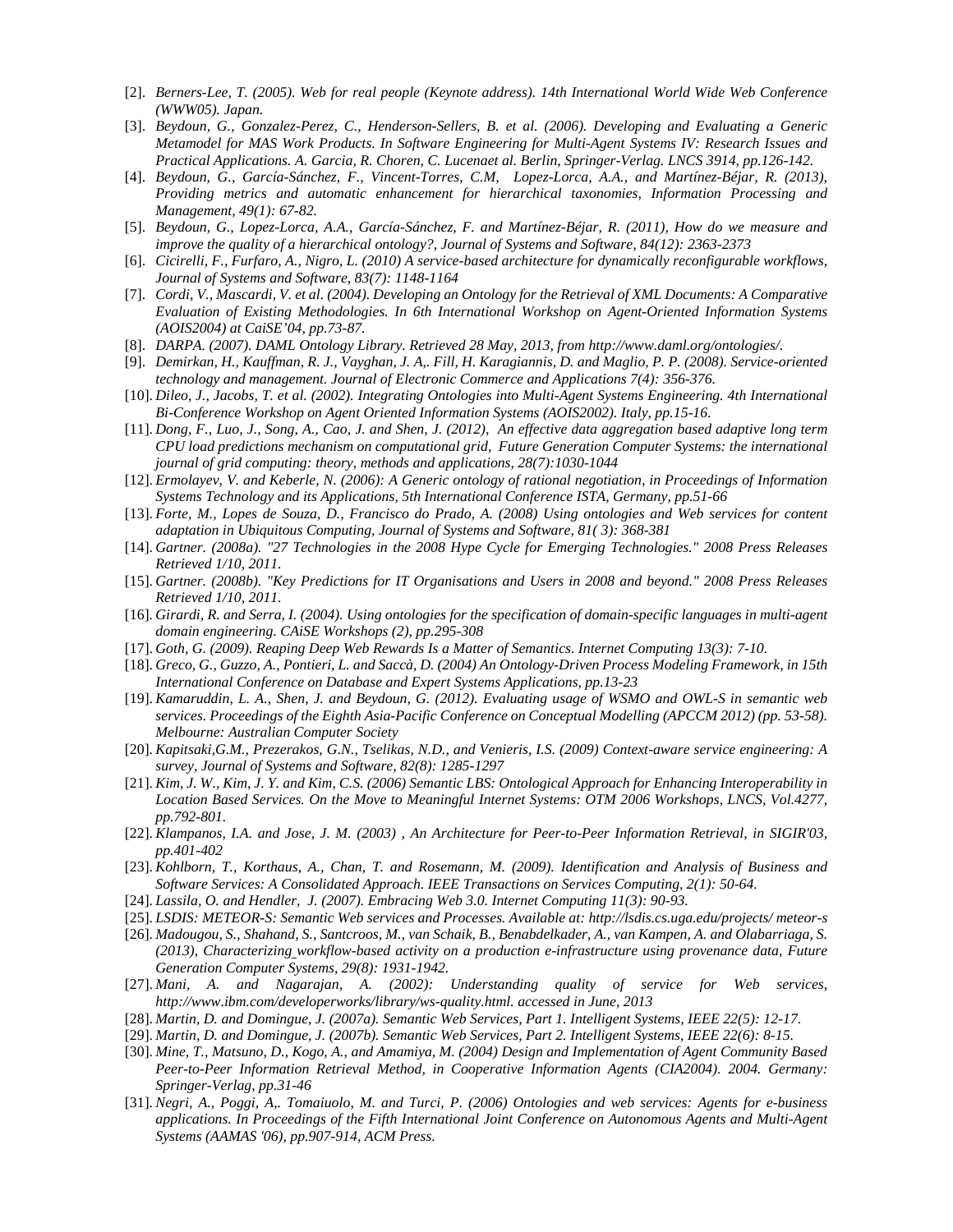- [2]. *Berners-Lee, T. (2005). Web for real people (Keynote address). 14th International World Wide Web Conference (WWW05). Japan.*
- [3]. *Beydoun, G., Gonzalez-Perez, C., Henderson-Sellers, B. et al. (2006). Developing and Evaluating a Generic Metamodel for MAS Work Products. In Software Engineering for Multi-Agent Systems IV: Research Issues and Practical Applications. A. Garcia, R. Choren, C. Lucenaet al. Berlin, Springer-Verlag. LNCS 3914, pp.126-142.*
- [4]. *Beydoun, G., García-Sánchez, F., Vincent-Torres, C.M, Lopez-Lorca, A.A., and Martínez-Béjar, R. (2013), Providing metrics and automatic enhancement for hierarchical taxonomies, Information Processing and Management, 49(1): 67-82.*
- [5]. *Beydoun, G., Lopez-Lorca, A.A., García-Sánchez, F. and Martínez-Béjar, R. (2011), How do we measure and improve the quality of a hierarchical ontology?, Journal of Systems and Software, 84(12): 2363-2373*
- [6]. *Cicirelli, F., Furfaro, A., Nigro, L. (2010) A service-based architecture for dynamically reconfigurable workflows, Journal of Systems and Software, 83(7): 1148-1164*
- [7]. *Cordi, V., Mascardi, V. et al. (2004). Developing an Ontology for the Retrieval of XML Documents: A Comparative Evaluation of Existing Methodologies. In 6th International Workshop on Agent-Oriented Information Systems (AOIS2004) at CaiSE'04, pp.73-87.*
- [8]. *DARPA. (2007). DAML Ontology Library. Retrieved 28 May, 2013, from http://www.daml.org/ontologies/.*
- [9]. *Demirkan, H., Kauffman, R. J., Vayghan, J. A,. Fill, H. Karagiannis, D. and Maglio, P. P. (2008). Service-oriented technology and management. Journal of Electronic Commerce and Applications 7(4): 356-376.*
- [10]. *Dileo, J., Jacobs, T. et al. (2002). Integrating Ontologies into Multi-Agent Systems Engineering. 4th International Bi-Conference Workshop on Agent Oriented Information Systems (AOIS2002). Italy, pp.15-16.*
- [11]. *Dong, F., Luo, J., Song, A., Cao, J. and Shen, J. (2012), An effective data aggregation based adaptive long term CPU load predictions mechanism on computational grid, Future Generation Computer Systems: the international journal of grid computing: theory, methods and applications, 28(7):1030-1044*
- [12]. *Ermolayev, V. and Keberle, N. (2006): A Generic ontology of rational negotiation, in Proceedings of Information Systems Technology and its Applications, 5th International Conference ISTA, Germany, pp.51-66*
- [13]. *Forte, M., Lopes de Souza, D., Francisco do Prado, A. (2008) Using ontologies and Web services for content adaptation in Ubiquitous Computing, Journal of Systems and Software, 81( 3): 368-381*
- [14]. *Gartner. (2008a). "27 Technologies in the 2008 Hype Cycle for Emerging Technologies." 2008 Press Releases Retrieved 1/10, 2011.*
- [15]. *Gartner. (2008b). "Key Predictions for IT Organisations and Users in 2008 and beyond." 2008 Press Releases Retrieved 1/10, 2011.*
- [16]. *Girardi, R. and Serra, I. (2004). Using ontologies for the specification of domain-specific languages in multi-agent domain engineering. CAiSE Workshops (2), pp.295-308*
- [17]. *Goth, G. (2009). Reaping Deep Web Rewards Is a Matter of Semantics. Internet Computing 13(3): 7-10.*
- [18]. *Greco, G., Guzzo, A., Pontieri, L. and Saccà, D. (2004) An Ontology-Driven Process Modeling Framework, in 15th International Conference on Database and Expert Systems Applications, pp.13-23*
- [19]. *Kamaruddin, L. A., Shen, J. and Beydoun, G. (2012). Evaluating usage of WSMO and OWL-S in semantic web services. Proceedings of the Eighth Asia-Pacific Conference on Conceptual Modelling (APCCM 2012) (pp. 53-58). Melbourne: Australian Computer Society*
- [20]. *Kapitsaki,G.M., Prezerakos, G.N., Tselikas, N.D., and Venieris, I.S. (2009) Context-aware service engineering: A survey, Journal of Systems and Software, 82(8): 1285-1297*
- [21]. *Kim, J. W., Kim, J. Y. and Kim, C.S. (2006) Semantic LBS: Ontological Approach for Enhancing Interoperability in Location Based Services. On the Move to Meaningful Internet Systems: OTM 2006 Workshops, LNCS, Vol.4277, pp.792-801.*
- [22]. *Klampanos, I.A. and Jose, J. M. (2003) , An Architecture for Peer-to-Peer Information Retrieval, in SIGIR'03, pp.401-402*
- [23]. *Kohlborn, T., Korthaus, A., Chan, T. and Rosemann, M. (2009). Identification and Analysis of Business and Software Services: A Consolidated Approach. IEEE Transactions on Services Computing, 2(1): 50-64.*
- [24]. *Lassila, O. and Hendler, J. (2007). Embracing Web 3.0. Internet Computing 11(3): 90-93.*
- [25]. *LSDIS: METEOR-S: Semantic Web services and Processes. Available at: http://lsdis.cs.uga.edu/projects/ meteor-s*
- [26]. *Madougou, S., Shahand, S., Santcroos, M., van Schaik, B., Benabdelkader, A., van Kampen, A. and Olabarriaga, S. (2013), Characterizing workflow-based activity on a production e-infrastructure using provenance data, Future Generation Computer Systems, 29(8): 1931-1942.*
- [27]. *Mani, A. and Nagarajan, A. (2002): Understanding quality of service for Web services, http://www.ibm.com/developerworks/library/ws-quality.html. accessed in June, 2013*
- [28]. *Martin, D. and Domingue, J. (2007a). Semantic Web Services, Part 1. Intelligent Systems, IEEE 22(5): 12-17.*
- [29]. *Martin, D. and Domingue, J. (2007b). Semantic Web Services, Part 2. Intelligent Systems, IEEE 22(6): 8-15.*
- [30]. *Mine, T., Matsuno, D., Kogo, A., and Amamiya, M. (2004) Design and Implementation of Agent Community Based Peer-to-Peer Information Retrieval Method, in Cooperative Information Agents (CIA2004). 2004. Germany: Springer-Verlag, pp.31-46*
- [31]. *Negri, A., Poggi, A,. Tomaiuolo, M. and Turci, P. (2006) Ontologies and web services: Agents for e-business applications. In Proceedings of the Fifth International Joint Conference on Autonomous Agents and Multi-Agent Systems (AAMAS '06), pp.907-914, ACM Press.*